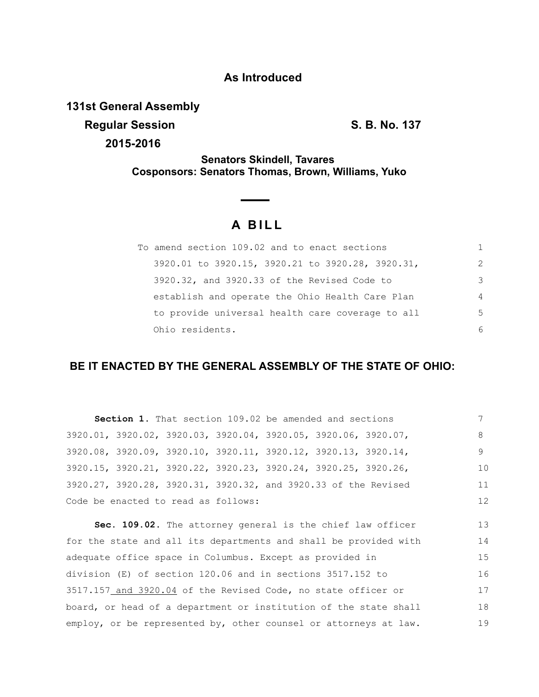## **As Introduced**

**131st General Assembly**

**Regular Session S. B. No. 137** 

**2015-2016**

**Senators Skindell, Tavares Cosponsors: Senators Thomas, Brown, Williams, Yuko**

## **A B I L L**

| To amend section 109.02 and to enact sections    | 1.            |
|--------------------------------------------------|---------------|
| 3920.01 to 3920.15, 3920.21 to 3920.28, 3920.31, | $\mathcal{L}$ |
| 3920.32, and 3920.33 of the Revised Code to      | 3             |
| establish and operate the Ohio Health Care Plan  | 4             |
| to provide universal health care coverage to all | .5            |
| Ohio residents.                                  | 6             |

## **BE IT ENACTED BY THE GENERAL ASSEMBLY OF THE STATE OF OHIO:**

| Section 1. That section 109.02 be amended and sections         |    |
|----------------------------------------------------------------|----|
| 3920.01, 3920.02, 3920.03, 3920.04, 3920.05, 3920.06, 3920.07, | 8  |
| 3920.08, 3920.09, 3920.10, 3920.11, 3920.12, 3920.13, 3920.14, |    |
| 3920.15, 3920.21, 3920.22, 3920.23, 3920.24, 3920.25, 3920.26, | 10 |
| 3920.27, 3920.28, 3920.31, 3920.32, and 3920.33 of the Revised | 11 |
| Code be enacted to read as follows:                            | 12 |

**Sec. 109.02.** The attorney general is the chief law officer for the state and all its departments and shall be provided with adequate office space in Columbus. Except as provided in division (E) of section 120.06 and in sections 3517.152 to 3517.157 and 3920.04 of the Revised Code, no state officer or board, or head of a department or institution of the state shall employ, or be represented by, other counsel or attorneys at law. 13 14 15 16 17 18 19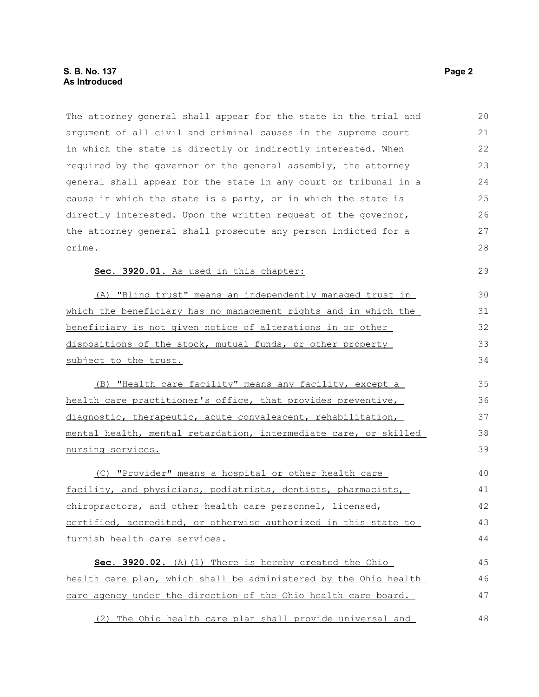The attorney general shall appear for the state in the trial and argument of all civil and criminal causes in the supreme court in which the state is directly or indirectly interested. When required by the governor or the general assembly, the attorney general shall appear for the state in any court or tribunal in a cause in which the state is a party, or in which the state is directly interested. Upon the written request of the governor, the attorney general shall prosecute any person indicted for a crime. **Sec. 3920.01.** As used in this chapter: (A) "Blind trust" means an independently managed trust in which the beneficiary has no management rights and in which the beneficiary is not given notice of alterations in or other dispositions of the stock, mutual funds, or other property subject to the trust. (B) "Health care facility" means any facility, except a health care practitioner's office, that provides preventive, diagnostic, therapeutic, acute convalescent, rehabilitation, mental health, mental retardation, intermediate care, or skilled nursing services. (C) "Provider" means a hospital or other health care facility, and physicians, podiatrists, dentists, pharmacists, chiropractors, and other health care personnel, licensed, certified, accredited, or otherwise authorized in this state to furnish health care services. Sec. 3920.02. (A)(1) There is hereby created the Ohio health care plan, which shall be administered by the Ohio health care agency under the direction of the Ohio health care board. (2) The Ohio health care plan shall provide universal and 20 21 22 23 24 25 26 27 28 29 30 31 32 33 34 35 36 37 38 39 40 41 42 43 44 45 46 47 48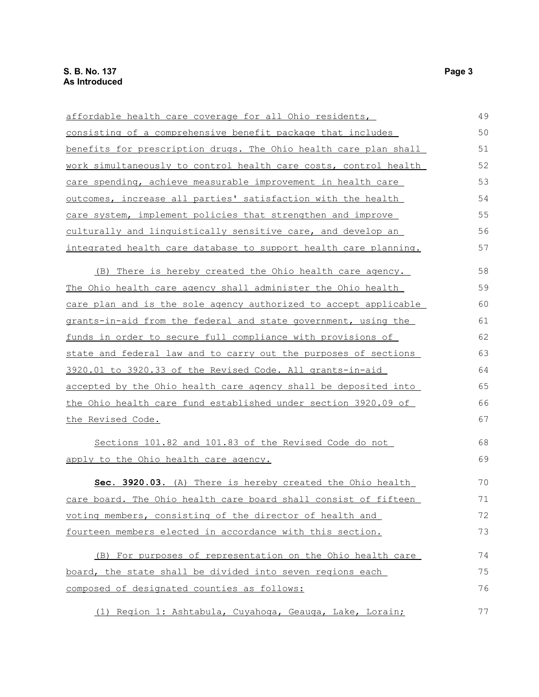affordable health care coverage for all Ohio residents, consisting of a comprehensive benefit package that includes benefits for prescription drugs. The Ohio health care plan shall work simultaneously to control health care costs, control health care spending, achieve measurable improvement in health care outcomes, increase all parties' satisfaction with the health care system, implement policies that strengthen and improve culturally and linguistically sensitive care, and develop an integrated health care database to support health care planning. (B) There is hereby created the Ohio health care agency. The Ohio health care agency shall administer the Ohio health care plan and is the sole agency authorized to accept applicable grants-in-aid from the federal and state government, using the funds in order to secure full compliance with provisions of state and federal law and to carry out the purposes of sections 3920.01 to 3920.33 of the Revised Code. All grants-in-aid accepted by the Ohio health care agency shall be deposited into the Ohio health care fund established under section 3920.09 of the Revised Code. Sections 101.82 and 101.83 of the Revised Code do not apply to the Ohio health care agency. **Sec. 3920.03.** (A) There is hereby created the Ohio health care board. The Ohio health care board shall consist of fifteen voting members, consisting of the director of health and fourteen members elected in accordance with this section. (B) For purposes of representation on the Ohio health care board, the state shall be divided into seven regions each composed of designated counties as follows: 49 50 51 52 53 54 55 56 57 58 59 60 61 62 63 64 65 66 67 68 69 70 71 72 73 74 75 76

(1) Region 1: Ashtabula, Cuyahoga, Geauga, Lake, Lorain;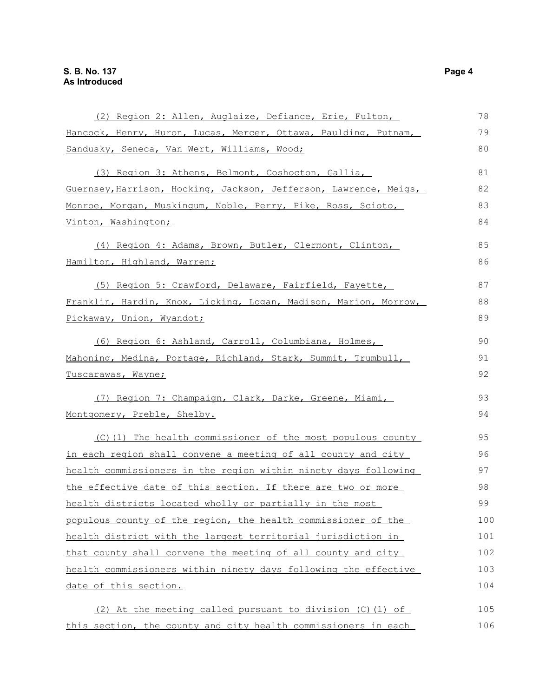| (2) Region 2: Allen, Auglaize, Defiance, Erie, Fulton,            | 78  |
|-------------------------------------------------------------------|-----|
| Hancock, Henry, Huron, Lucas, Mercer, Ottawa, Paulding, Putnam,   | 79  |
| Sandusky, Seneca, Van Wert, Williams, Wood;                       | 80  |
| (3) Region 3: Athens, Belmont, Coshocton, Gallia,                 | 81  |
| Guernsey, Harrison, Hocking, Jackson, Jefferson, Lawrence, Meigs, | 82  |
| Monroe, Morgan, Muskingum, Noble, Perry, Pike, Ross, Scioto,      | 83  |
| Vinton, Washington;                                               | 84  |
| (4) Region 4: Adams, Brown, Butler, Clermont, Clinton,            | 85  |
| Hamilton, Highland, Warren;                                       | 86  |
| (5) Region 5: Crawford, Delaware, Fairfield, Fayette,             | 87  |
| Franklin, Hardin, Knox, Licking, Logan, Madison, Marion, Morrow,  | 88  |
| Pickaway, Union, Wyandot;                                         | 89  |
| (6) Region 6: Ashland, Carroll, Columbiana, Holmes,               | 90  |
| Mahoning, Medina, Portage, Richland, Stark, Summit, Trumbull,     | 91  |
| Tuscarawas, Wayne;                                                | 92  |
| (7) Region 7: Champaign, Clark, Darke, Greene, Miami,             | 93  |
| Montgomery, Preble, Shelby.                                       | 94  |
| (C)(1) The health commissioner of the most populous county        | 95  |
| in each region shall convene a meeting of all county and city     | 96  |
| health commissioners in the region within ninety days following   | 97  |
| the effective date of this section. If there are two or more      | 98  |
| health districts located wholly or partially in the most          | 99  |
| populous county of the region, the health commissioner of the     | 100 |
| health district with the largest territorial jurisdiction in      | 101 |
| that county shall convene the meeting of all county and city      | 102 |
| health commissioners within ninety days following the effective   | 103 |
| date of this section.                                             | 104 |
| (2) At the meeting called pursuant to division (C) (1) of         | 105 |
| this section, the county and city health commissioners in each    | 106 |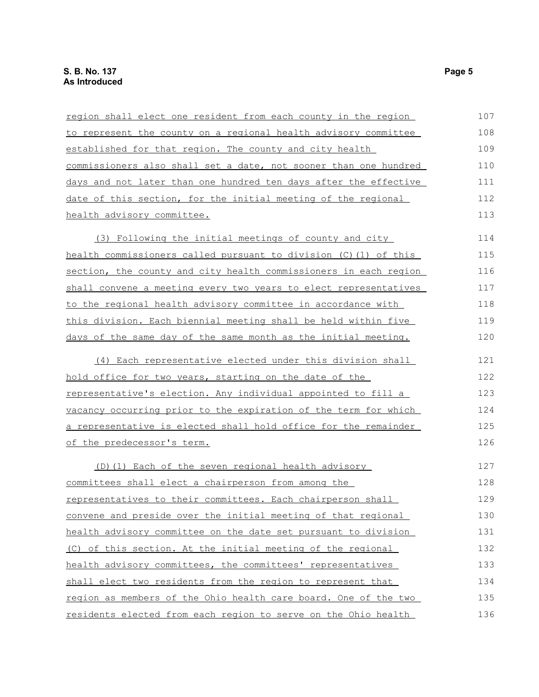| region shall elect one resident from each county in the region        | 107 |
|-----------------------------------------------------------------------|-----|
| to represent the county on a regional health advisory committee       | 108 |
| established for that region. The county and city health               | 109 |
| commissioners also shall set a date, not sooner than one hundred      | 110 |
| days and not later than one hundred ten days after the effective      | 111 |
| date of this section, for the initial meeting of the regional         | 112 |
| health advisory committee.                                            | 113 |
| (3) Following the initial meetings of county and city                 | 114 |
| health commissioners called pursuant to division (C)(1) of this       | 115 |
| section, the county and city health commissioners in each region      | 116 |
| shall convene a meeting every two years to elect representatives      | 117 |
| to the regional health advisory committee in accordance with          | 118 |
| <u>this division. Each biennial meeting shall be held within five</u> | 119 |
| days of the same day of the same month as the initial meeting.        | 120 |
| (4) Each representative elected under this division shall             | 121 |
| hold office for two years, starting on the date of the                | 122 |
| representative's election. Any individual appointed to fill a         | 123 |
| vacancy occurring prior to the expiration of the term for which       | 124 |
| a representative is elected shall hold office for the remainder       | 125 |
| of the predecessor's term.                                            | 126 |
| (D) (1) Each of the seven regional health advisory                    | 127 |
| committees shall elect a chairperson from among the                   | 128 |
| representatives to their committees. Each chairperson shall           | 129 |
| convene and preside over the initial meeting of that regional         | 130 |
| health advisory committee on the date set pursuant to division        | 131 |
| (C) of this section. At the initial meeting of the regional           | 132 |
| health advisory committees, the committees' representatives           | 133 |
| shall elect two residents from the region to represent that           | 134 |
| region as members of the Ohio health care board. One of the two       | 135 |
| residents elected from each region to serve on the Ohio health        | 136 |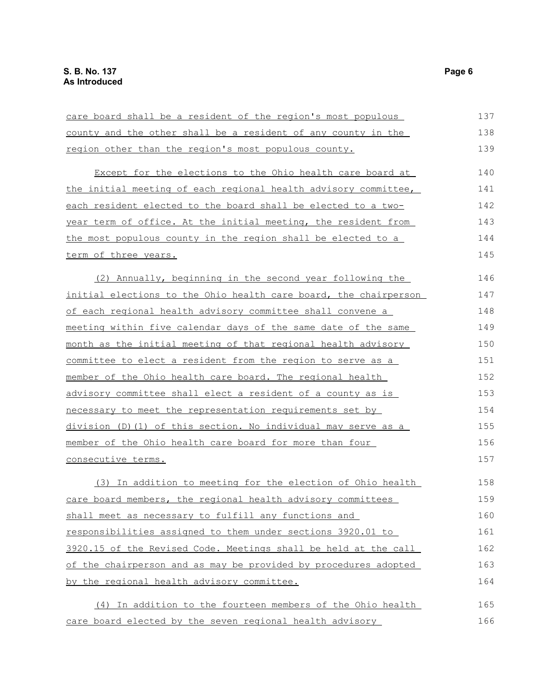| care board shall be a resident of the region's most populous           | 137 |
|------------------------------------------------------------------------|-----|
| county and the other shall be a resident of any county in the          | 138 |
| region other than the region's most populous county.                   | 139 |
| Except for the elections to the Ohio health care board at              | 140 |
| the initial meeting of each regional health advisory committee,        | 141 |
| each resident elected to the board shall be elected to a two-          | 142 |
| year term of office. At the initial meeting, the resident from         | 143 |
| the most populous county in the region shall be elected to a           | 144 |
| <u>term of three years.</u>                                            | 145 |
| (2) Annually, beginning in the second year following the               | 146 |
| initial elections to the Ohio health care board, the chairperson       | 147 |
| of each regional health advisory committee shall convene a             | 148 |
| <u>meeting within five calendar days of the same date of the same </u> | 149 |
| month as the initial meeting of that regional health advisory          | 150 |
| <u>committee to elect a resident from the region to serve as a</u>     | 151 |
| member of the Ohio health care board. The regional health              | 152 |
| advisory committee shall elect a resident of a county as is            | 153 |
| necessary to meet the representation requirements set by               | 154 |
| division (D)(1) of this section. No individual may serve as a          | 155 |
| <u>member of the Ohio health care board for more than four </u>        | 156 |
| <u>consecutive terms.</u>                                              | 157 |
| (3) In addition to meeting for the election of Ohio health             | 158 |
| care board members, the regional health advisory committees            | 159 |
| shall meet as necessary to fulfill any functions and                   | 160 |
| responsibilities assigned to them under sections 3920.01 to            | 161 |
| 3920.15 of the Revised Code. Meetings shall be held at the call        | 162 |
| of the chairperson and as may be provided by procedures adopted        | 163 |
| by the regional health advisory committee.                             | 164 |
| (4) In addition to the fourteen members of the Ohio health             | 165 |
| care board elected by the seven regional health advisory               | 166 |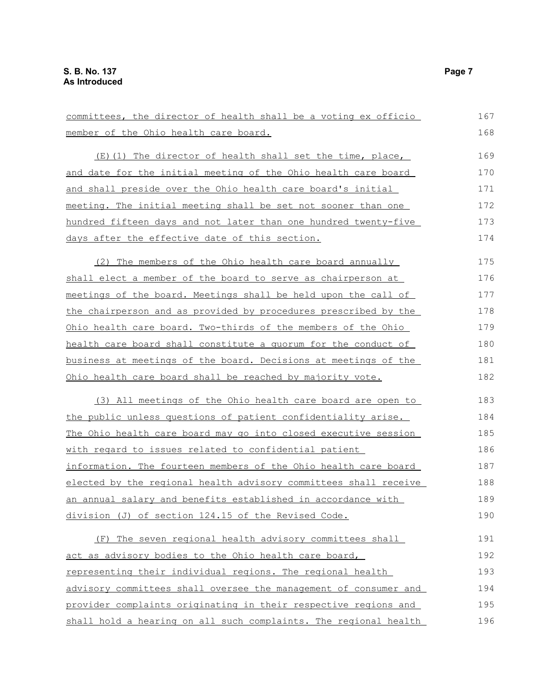committees, the director of health shall be a voting ex officio member of the Ohio health care board. (E)(1) The director of health shall set the time, place, and date for the initial meeting of the Ohio health care board and shall preside over the Ohio health care board's initial meeting. The initial meeting shall be set not sooner than one hundred fifteen days and not later than one hundred twenty-five days after the effective date of this section. (2) The members of the Ohio health care board annually shall elect a member of the board to serve as chairperson at meetings of the board. Meetings shall be held upon the call of the chairperson and as provided by procedures prescribed by the Ohio health care board. Two-thirds of the members of the Ohio health care board shall constitute a quorum for the conduct of business at meetings of the board. Decisions at meetings of the Ohio health care board shall be reached by majority vote. (3) All meetings of the Ohio health care board are open to the public unless questions of patient confidentiality arise. The Ohio health care board may go into closed executive session with regard to issues related to confidential patient information. The fourteen members of the Ohio health care board elected by the regional health advisory committees shall receive an annual salary and benefits established in accordance with division (J) of section 124.15 of the Revised Code. (F) The seven regional health advisory committees shall act as advisory bodies to the Ohio health care board, representing their individual regions. The regional health advisory committees shall oversee the management of consumer and provider complaints originating in their respective regions and 167 168 169 170 171 172 173 174 175 176 177 178 179 180 181 182 183 184 185 186 187 188 189 190 191 192 193 194 195

shall hold a hearing on all such complaints. The regional health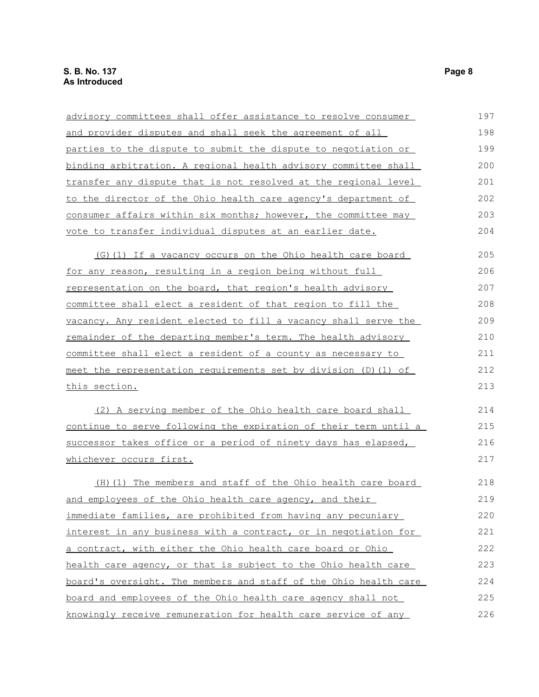| advisory committees shall offer assistance to resolve consumer   | 197 |
|------------------------------------------------------------------|-----|
| and provider disputes and shall seek the agreement of all        | 198 |
| parties to the dispute to submit the dispute to negotiation or   | 199 |
| binding arbitration. A regional health advisory committee shall  | 200 |
| transfer any dispute that is not resolved at the regional level  | 201 |
| to the director of the Ohio health care agency's department of   | 202 |
| consumer affairs within six months; however, the committee may   | 203 |
| vote to transfer individual disputes at an earlier date.         | 204 |
| (G)(1) If a vacancy occurs on the Ohio health care board         | 205 |
| for any reason, resulting in a region being without full         | 206 |
| representation on the board, that region's health advisory       | 207 |
| committee shall elect a resident of that region to fill the      | 208 |
| vacancy. Any resident elected to fill a vacancy shall serve the  | 209 |
| remainder of the departing member's term. The health advisory    | 210 |
| committee shall elect a resident of a county as necessary to     | 211 |
| meet the representation requirements set by division (D) (1) of  | 212 |
| this section.                                                    | 213 |
| (2) A serving member of the Ohio health care board shall         | 214 |
| continue to serve following the expiration of their term until a | 215 |
| successor takes office or a period of ninety days has elapsed,   | 216 |
| <u>whichever occurs first.</u>                                   | 217 |
| (H) (1) The members and staff of the Ohio health care board      | 218 |
| and employees of the Ohio health care agency, and their          | 219 |
| immediate families, are prohibited from having any pecuniary     | 220 |
| interest in any business with a contract, or in negotiation for  | 221 |
| a contract, with either the Ohio health care board or Ohio       | 222 |
| health care agency, or that is subject to the Ohio health care   | 223 |
| board's oversight. The members and staff of the Ohio health care | 224 |
| board and employees of the Ohio health care agency shall not     | 225 |
| knowingly receive remuneration for health care service of any    | 226 |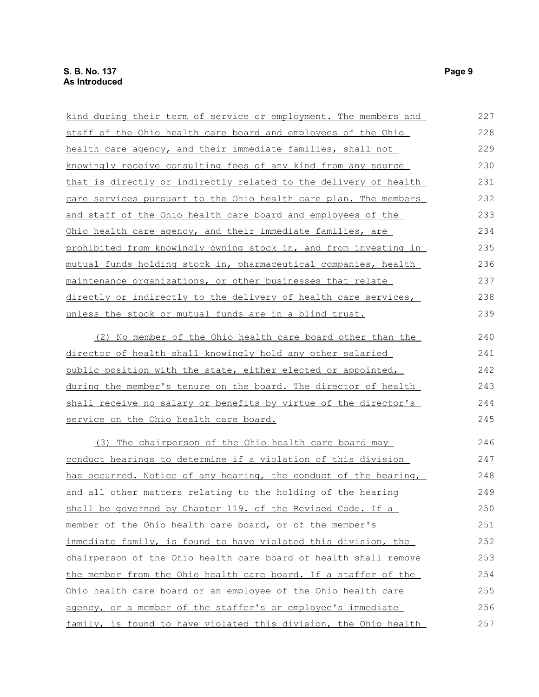| kind during their term of service or employment. The members and    | 227 |
|---------------------------------------------------------------------|-----|
| staff of the Ohio health care board and employees of the Ohio       | 228 |
| health care agency, and their immediate families, shall not         | 229 |
| knowingly receive consulting fees of any kind from any source       | 230 |
| that is directly or indirectly related to the delivery of health    | 231 |
| care services pursuant to the Ohio health care plan. The members    | 232 |
| <u>and staff of the Ohio health care board and employees of the</u> | 233 |
| Ohio health care agency, and their immediate families, are          | 234 |
| prohibited from knowingly owning stock in, and from investing in    | 235 |
| mutual funds holding stock in, pharmaceutical companies, health     | 236 |
| maintenance organizations, or other businesses that relate          | 237 |
| directly or indirectly to the delivery of health care services,     | 238 |
| unless the stock or mutual funds are in a blind trust.              | 239 |
| (2) No member of the Ohio health care board other than the          | 240 |
| director of health shall knowingly hold any other salaried          | 241 |
| public position with the state, either elected or appointed,        | 242 |
| during the member's tenure on the board. The director of health     | 243 |
| shall receive no salary or benefits by virtue of the director's     | 244 |
| service on the Ohio health care board.                              | 245 |
| (3) The chairperson of the Ohio health care board may               | 246 |
| conduct hearings to determine if a violation of this division       | 247 |
| has occurred. Notice of any hearing, the conduct of the hearing,    | 248 |
| and all other matters relating to the holding of the hearing        | 249 |
| shall be governed by Chapter 119. of the Revised Code. If a         | 250 |
| member of the Ohio health care board, or of the member's            | 251 |
| immediate family, is found to have violated this division, the      | 252 |
| chairperson of the Ohio health care board of health shall remove    | 253 |
| the member from the Ohio health care board. If a staffer of the     | 254 |
| Ohio health care board or an employee of the Ohio health care       | 255 |
| agency, or a member of the staffer's or employee's immediate        | 256 |
| family, is found to have violated this division, the Ohio health    | 257 |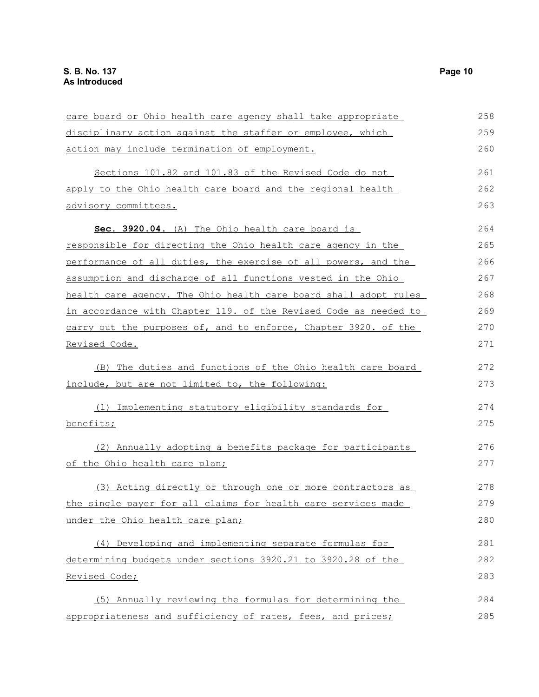care board or Ohio health care agency shall take appropriate disciplinary action against the staffer or employee, which action may include termination of employment. Sections 101.82 and 101.83 of the Revised Code do not apply to the Ohio health care board and the regional health advisory committees. **Sec. 3920.04.** (A) The Ohio health care board is responsible for directing the Ohio health care agency in the performance of all duties, the exercise of all powers, and the assumption and discharge of all functions vested in the Ohio health care agency. The Ohio health care board shall adopt rules in accordance with Chapter 119. of the Revised Code as needed to carry out the purposes of, and to enforce, Chapter 3920. of the Revised Code. (B) The duties and functions of the Ohio health care board include, but are not limited to, the following: (1) Implementing statutory eligibility standards for benefits; (2) Annually adopting a benefits package for participants of the Ohio health care plan; (3) Acting directly or through one or more contractors as the single payer for all claims for health care services made under the Ohio health care plan; (4) Developing and implementing separate formulas for determining budgets under sections 3920.21 to 3920.28 of the Revised Code; (5) Annually reviewing the formulas for determining the appropriateness and sufficiency of rates, fees, and prices; 258 259 260 261 262 263 264 265 266 267 268 269 270 271 272 273 274 275 276 277 278 279 280 281 282 283 284 285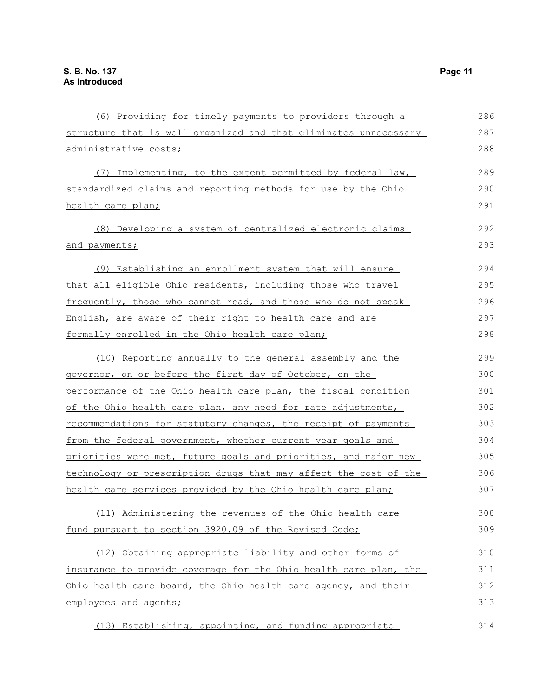| (6) Providing for timely payments to providers through a         | 286 |
|------------------------------------------------------------------|-----|
| structure that is well organized and that eliminates unnecessary | 287 |
| administrative costs;                                            | 288 |
| (7) Implementing, to the extent permitted by federal law,        | 289 |
| standardized claims and reporting methods for use by the Ohio    | 290 |
| health care plan;                                                | 291 |
| (8) Developing a system of centralized electronic claims         | 292 |
| and payments;                                                    | 293 |
| <u>(9) Establishing an enrollment system that will ensure</u>    | 294 |
| that all eligible Ohio residents, including those who travel     | 295 |
| frequently, those who cannot read, and those who do not speak    | 296 |
| English, are aware of their right to health care and are         | 297 |
| formally enrolled in the Ohio health care plan;                  | 298 |
| (10) Reporting annually to the general assembly and the          | 299 |
| governor, on or before the first day of October, on the          | 300 |
| performance of the Ohio health care plan, the fiscal condition   | 301 |
| of the Ohio health care plan, any need for rate adjustments,     | 302 |
| recommendations for statutory changes, the receipt of payments   | 303 |
| from the federal government, whether current year goals and      | 304 |
| priorities were met, future goals and priorities, and major new  | 305 |
| technology or prescription drugs that may affect the cost of the | 306 |
| health care services provided by the Ohio health care plan;      | 307 |
| (11) Administering the revenues of the Ohio health care          | 308 |
| fund pursuant to section 3920.09 of the Revised Code;            | 309 |
| (12) Obtaining appropriate liability and other forms of          | 310 |
| insurance to provide coverage for the Ohio health care plan, the | 311 |
| Ohio health care board, the Ohio health care agency, and their   | 312 |
| employees and agents;                                            | 313 |
| (13) Establishing, appointing, and funding appropriate           | 314 |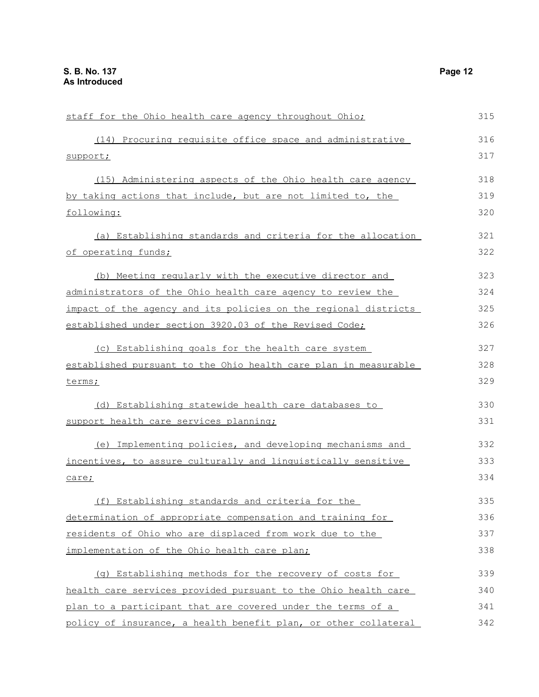| staff for the Ohio health care agency throughout Ohio;             | 315 |
|--------------------------------------------------------------------|-----|
| (14) Procuring requisite office space and administrative           | 316 |
| support;                                                           | 317 |
| (15) Administering aspects of the Ohio health care agency          | 318 |
| by taking actions that include, but are not limited to, the        | 319 |
| following:                                                         | 320 |
| (a) Establishing standards and criteria for the allocation         | 321 |
| <u>of operating funds;</u>                                         | 322 |
| (b) Meeting regularly with the executive director and              | 323 |
| <u>administrators of the Ohio health care agency to review the</u> | 324 |
| impact of the agency and its policies on the regional districts    | 325 |
| established under section 3920.03 of the Revised Code;             | 326 |
| (c) Establishing goals for the health care system                  | 327 |
| established pursuant to the Ohio health care plan in measurable    | 328 |
| terms;                                                             | 329 |
| (d) Establishing statewide health care databases to                | 330 |
| support health care services planning;                             | 331 |
| (e) Implementing policies, and developing mechanisms and           | 332 |
| incentives, to assure culturally and linguistically sensitive      | 333 |
| care;                                                              | 334 |
| (f) Establishing standards and criteria for the                    | 335 |
| determination of appropriate compensation and training for         | 336 |
| residents of Ohio who are displaced from work due to the           | 337 |
| implementation of the Ohio health care plan;                       | 338 |
| (q) Establishing methods for the recovery of costs for             | 339 |
| health care services provided pursuant to the Ohio health care     | 340 |
| plan to a participant that are covered under the terms of a        | 341 |
| policy of insurance, a health benefit plan, or other collateral    | 342 |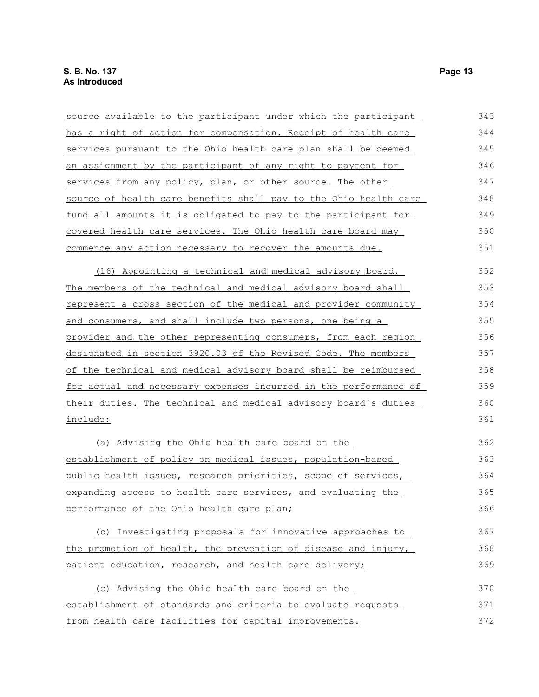| source available to the participant under which the participant  | 343 |
|------------------------------------------------------------------|-----|
| has a right of action for compensation. Receipt of health care   | 344 |
| services pursuant to the Ohio health care plan shall be deemed   | 345 |
| an assignment by the participant of any right to payment for     | 346 |
| services from any policy, plan, or other source. The other       | 347 |
| source of health care benefits shall pay to the Ohio health care | 348 |
| fund all amounts it is obligated to pay to the participant for   | 349 |
| covered health care services. The Ohio health care board may     | 350 |
| commence any action necessary to recover the amounts due.        | 351 |
| (16) Appointing a technical and medical advisory board.          | 352 |
| The members of the technical and medical advisory board shall    | 353 |
| represent a cross section of the medical and provider community  | 354 |
| and consumers, and shall include two persons, one being a        | 355 |
| provider and the other representing consumers, from each region  | 356 |
| designated in section 3920.03 of the Revised Code. The members   | 357 |
| of the technical and medical advisory board shall be reimbursed  | 358 |
| for actual and necessary expenses incurred in the performance of | 359 |
| their duties. The technical and medical advisory board's duties  | 360 |
| include:                                                         | 361 |
| (a) Advising the Ohio health care board on the                   | 362 |
| establishment of policy on medical issues, population-based      | 363 |
| public health issues, research priorities, scope of services,    | 364 |
| expanding access to health care services, and evaluating the     | 365 |
| performance of the Ohio health care plan;                        | 366 |
| (b) Investigating proposals for innovative approaches to         | 367 |
| the promotion of health, the prevention of disease and injury,   | 368 |
| patient education, research, and health care delivery;           | 369 |
| (c) Advising the Ohio health care board on the                   | 370 |
| establishment of standards and criteria to evaluate requests     | 371 |
| from health care facilities for capital improvements.            | 372 |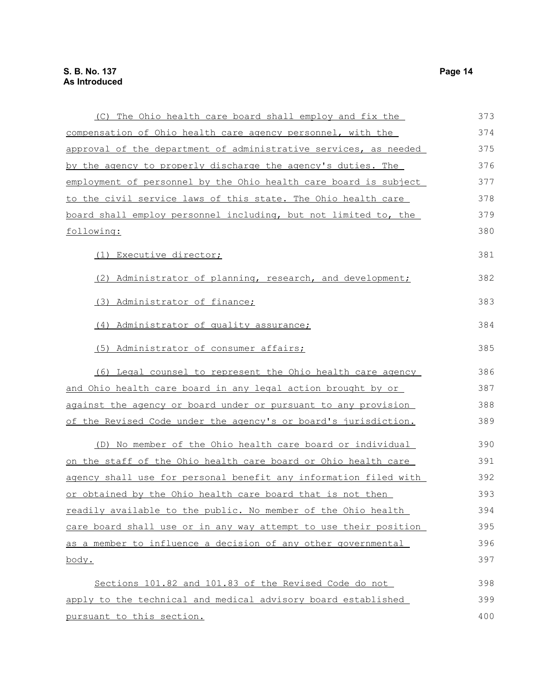| (C) The Ohio health care board shall employ and fix the          | 373 |
|------------------------------------------------------------------|-----|
| compensation of Ohio health care agency personnel, with the      | 374 |
| approval of the department of administrative services, as needed | 375 |
| by the agency to properly discharge the agency's duties. The     | 376 |
| employment of personnel by the Ohio health care board is subject | 377 |
| to the civil service laws of this state. The Ohio health care    | 378 |
| board shall employ personnel including, but not limited to, the  | 379 |
| following:                                                       | 380 |
| (1) Executive director;                                          | 381 |
| (2) Administrator of planning, research, and development;        | 382 |
| (3) Administrator of finance;                                    | 383 |
| (4) Administrator of quality assurance;                          | 384 |
| (5) Administrator of consumer affairs;                           | 385 |
| (6) Legal counsel to represent the Ohio health care agency       | 386 |
| and Ohio health care board in any legal action brought by or     | 387 |
| against the agency or board under or pursuant to any provision   | 388 |
| of the Revised Code under the agency's or board's jurisdiction.  | 389 |
| (D) No member of the Ohio health care board or individual        | 390 |
| on the staff of the Ohio health care board or Ohio health care   | 391 |
| agency shall use for personal benefit any information filed with | 392 |
| or obtained by the Ohio health care board that is not then       | 393 |
| readily available to the public. No member of the Ohio health    | 394 |
| care board shall use or in any way attempt to use their position | 395 |
| as a member to influence a decision of any other governmental    | 396 |
| body.                                                            | 397 |
| Sections 101.82 and 101.83 of the Revised Code do not            | 398 |
| apply to the technical and medical advisory board established    | 399 |
| pursuant to this section.                                        | 400 |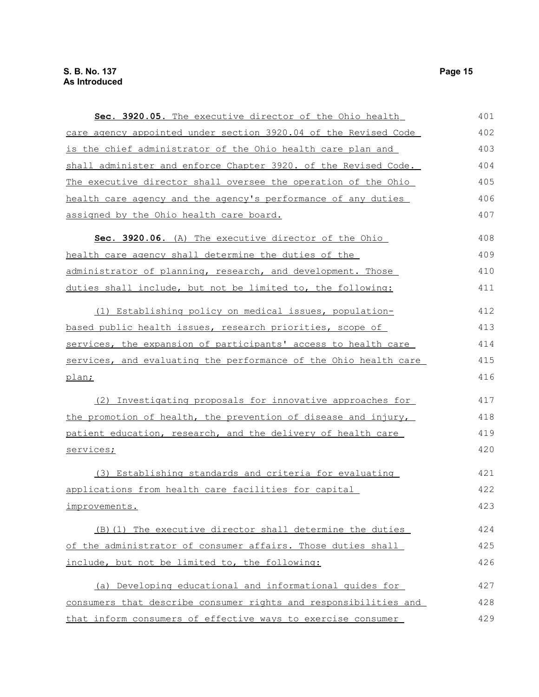| Sec. 3920.05. The executive director of the Ohio health          | 401 |
|------------------------------------------------------------------|-----|
| care agency appointed under section 3920.04 of the Revised Code  | 402 |
| is the chief administrator of the Ohio health care plan and      | 403 |
| shall administer and enforce Chapter 3920. of the Revised Code.  | 404 |
| The executive director shall oversee the operation of the Ohio   | 405 |
| health care agency and the agency's performance of any duties    | 406 |
| assigned by the Ohio health care board.                          | 407 |
| Sec. 3920.06. (A) The executive director of the Ohio             | 408 |
| health care agency shall determine the duties of the             | 409 |
| administrator of planning, research, and development. Those      | 410 |
| duties shall include, but not be limited to, the following:      | 411 |
| (1) Establishing policy on medical issues, population-           | 412 |
| based public health issues, research priorities, scope of        | 413 |
| services, the expansion of participants' access to health care   | 414 |
| services, and evaluating the performance of the Ohio health care | 415 |
| plan;                                                            | 416 |
| (2) Investigating proposals for innovative approaches for        | 417 |
| the promotion of health, the prevention of disease and injury,   | 418 |
| patient education, research, and the delivery of health care     | 419 |
| services;                                                        | 420 |
| (3) Establishing standards and criteria for evaluating           | 421 |
| applications from health care facilities for capital             | 422 |
| improvements.                                                    | 423 |
| (B)(1) The executive director shall determine the duties         | 424 |
| of the administrator of consumer affairs. Those duties shall     | 425 |
| include, but not be limited to, the following:                   | 426 |
| (a) Developing educational and informational guides for          | 427 |
| consumers that describe consumer rights and responsibilities and | 428 |
| that inform consumers of effective ways to exercise consumer     | 429 |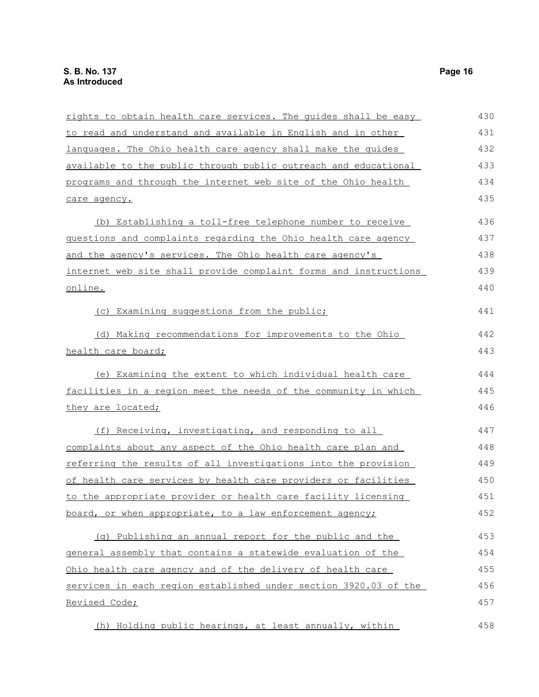| rights to obtain health care services. The quides shall be easy  | 430 |
|------------------------------------------------------------------|-----|
| to read and understand and available in English and in other     | 431 |
| languages. The Ohio health care agency shall make the quides     | 432 |
| available to the public through public outreach and educational  | 433 |
| programs and through the internet web site of the Ohio health    | 434 |
| care agency.                                                     | 435 |
| (b) Establishing a toll-free telephone number to receive         | 436 |
| questions and complaints regarding the Ohio health care agency   | 437 |
| and the agency's services. The Ohio health care agency's         | 438 |
| internet web site shall provide complaint forms and instructions | 439 |
| online.                                                          | 440 |
| (c) Examining suggestions from the public;                       | 441 |
| (d) Making recommendations for improvements to the Ohio          | 442 |
| health care board;                                               | 443 |
| (e) Examining the extent to which individual health care         | 444 |
| facilities in a region meet the needs of the community in which  | 445 |
| they are located;                                                | 446 |
| (f) Receiving, investigating, and responding to all              | 447 |
| complaints about any aspect of the Ohio health care plan and     | 448 |
| referring the results of all investigations into the provision   | 449 |
| of health care services by health care providers or facilities   | 450 |
| to the appropriate provider or health care facility licensing    | 451 |
| board, or when appropriate, to a law enforcement agency;         | 452 |
| (q) Publishing an annual report for the public and the           | 453 |
| general assembly that contains a statewide evaluation of the     | 454 |
| Ohio health care agency and of the delivery of health care       | 455 |
| services in each region established under section 3920.03 of the | 456 |
| Revised Code;                                                    | 457 |
| (h) Holding public hearings, at least annually, within           | 458 |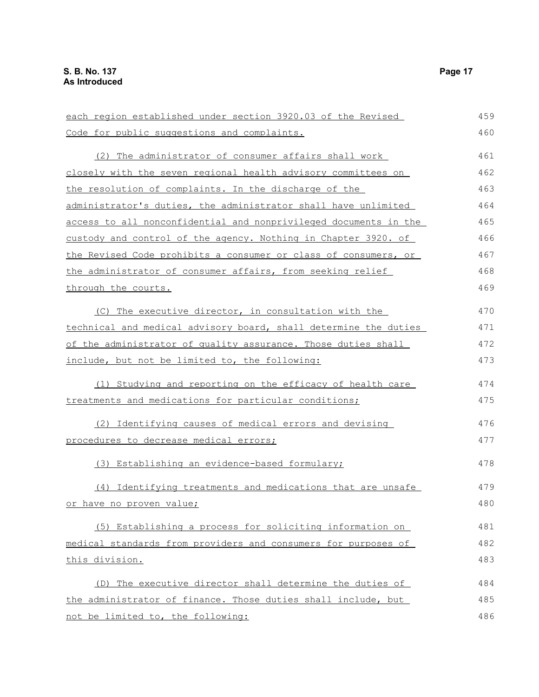each region established under section 3920.03 of the Revised Code for public suggestions and complaints. (2) The administrator of consumer affairs shall work closely with the seven regional health advisory committees on the resolution of complaints. In the discharge of the administrator's duties, the administrator shall have unlimited access to all nonconfidential and nonprivileged documents in the custody and control of the agency. Nothing in Chapter 3920. of the Revised Code prohibits a consumer or class of consumers, or the administrator of consumer affairs, from seeking relief through the courts. (C) The executive director, in consultation with the technical and medical advisory board, shall determine the duties of the administrator of quality assurance. Those duties shall include, but not be limited to, the following: (1) Studying and reporting on the efficacy of health care treatments and medications for particular conditions; (2) Identifying causes of medical errors and devising procedures to decrease medical errors; (3) Establishing an evidence-based formulary; (4) Identifying treatments and medications that are unsafe or have no proven value; (5) Establishing a process for soliciting information on medical standards from providers and consumers for purposes of this division. (D) The executive director shall determine the duties of the administrator of finance. Those duties shall include, but not be limited to, the following: 459 460 461 462 463 464 465 466 467 468 469 470 471 472 473 474 475 476 477 478 479 480 481 482 483 484 485 486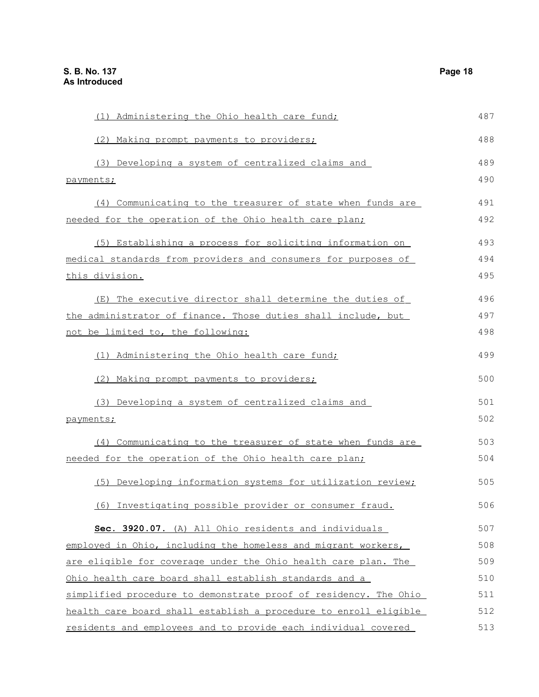| (1) Administering the Ohio health care fund;                     | 487 |
|------------------------------------------------------------------|-----|
| (2) Making prompt payments to providers;                         | 488 |
| (3) Developing a system of centralized claims and                | 489 |
| payments;                                                        | 490 |
| (4) Communicating to the treasurer of state when funds are       | 491 |
| needed for the operation of the Ohio health care plan;           | 492 |
| (5) Establishing a process for soliciting information on         | 493 |
| medical standards from providers and consumers for purposes of   | 494 |
| <u>this division.</u>                                            | 495 |
| (E) The executive director shall determine the duties of         | 496 |
| the administrator of finance. Those duties shall include, but    | 497 |
| not be limited to, the following:                                | 498 |
| (1) Administering the Ohio health care fund;                     | 499 |
| (2) Making prompt payments to providers;                         | 500 |
| (3) Developing a system of centralized claims and                | 501 |
| payments;                                                        | 502 |
| (4) Communicating to the treasurer of state when funds are       | 503 |
| needed for the operation of the Ohio health care plan;           | 504 |
| (5) Developing information systems for utilization review;       | 505 |
| (6) Investigating possible provider or consumer fraud.           | 506 |
| Sec. 3920.07. (A) All Ohio residents and individuals             | 507 |
| employed in Ohio, including the homeless and migrant workers,    | 508 |
| are eligible for coverage under the Ohio health care plan. The   | 509 |
| Ohio health care board shall establish standards and a           | 510 |
| simplified procedure to demonstrate proof of residency. The Ohio | 511 |
| health care board shall establish a procedure to enroll eligible | 512 |
| residents and employees and to provide each individual covered   | 513 |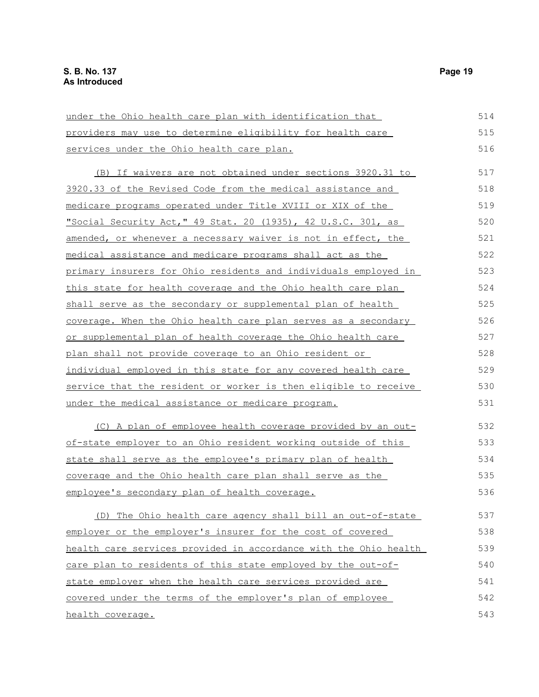| under the Ohio health care plan with identification that         | 514 |
|------------------------------------------------------------------|-----|
| providers may use to determine eligibility for health care       | 515 |
| services under the Ohio health care plan.                        | 516 |
| (B) If waivers are not obtained under sections 3920.31 to        | 517 |
| 3920.33 of the Revised Code from the medical assistance and      | 518 |
| medicare programs operated under Title XVIII or XIX of the       | 519 |
| "Social Security Act," 49 Stat. 20 (1935), 42 U.S.C. 301, as     | 520 |
| amended, or whenever a necessary waiver is not in effect, the    | 521 |
| medical assistance and medicare programs shall act as the        | 522 |
| primary insurers for Ohio residents and individuals employed in  | 523 |
| this state for health coverage and the Ohio health care plan     | 524 |
| shall serve as the secondary or supplemental plan of health      | 525 |
| coverage. When the Ohio health care plan serves as a secondary   | 526 |
| or supplemental plan of health coverage the Ohio health care     | 527 |
| plan shall not provide coverage to an Ohio resident or           | 528 |
| individual employed in this state for any covered health care    | 529 |
| service that the resident or worker is then eligible to receive  | 530 |
| under the medical assistance or medicare program.                | 531 |
| (C) A plan of employee health coverage provided by an out-       | 532 |
| of-state employer to an Ohio resident working outside of this    | 533 |
| state shall serve as the employee's primary plan of health       | 534 |
| coverage and the Ohio health care plan shall serve as the        | 535 |
| employee's secondary plan of health coverage.                    | 536 |
| (D) The Ohio health care agency shall bill an out-of-state       | 537 |
| employer or the employer's insurer for the cost of covered       | 538 |
| health care services provided in accordance with the Ohio health | 539 |
| care plan to residents of this state employed by the out-of-     | 540 |
| state employer when the health care services provided are        | 541 |
| covered under the terms of the employer's plan of employee       | 542 |
| health coverage.                                                 | 543 |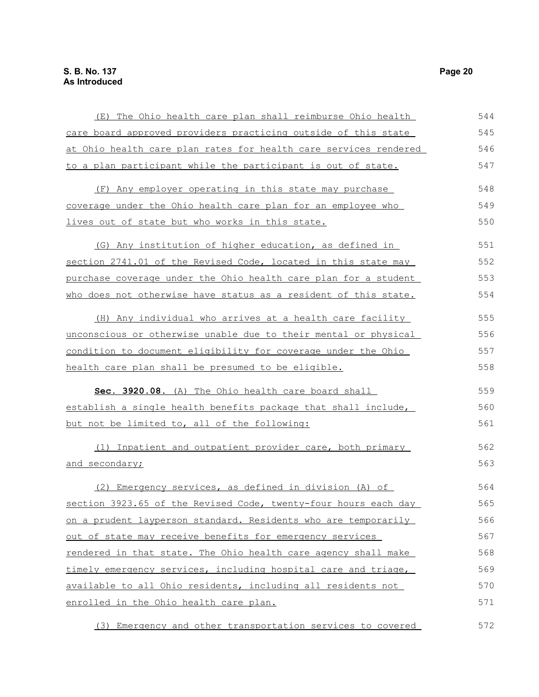| (E) The Ohio health care plan shall reimburse Ohio health                                                                                                                                                                                                                                                                                                                                                                                                                                                                                          | 544 |
|----------------------------------------------------------------------------------------------------------------------------------------------------------------------------------------------------------------------------------------------------------------------------------------------------------------------------------------------------------------------------------------------------------------------------------------------------------------------------------------------------------------------------------------------------|-----|
| care board approved providers practicing outside of this state                                                                                                                                                                                                                                                                                                                                                                                                                                                                                     | 545 |
| at Ohio health care plan rates for health care services rendered                                                                                                                                                                                                                                                                                                                                                                                                                                                                                   | 546 |
| to a plan participant while the participant is out of state.                                                                                                                                                                                                                                                                                                                                                                                                                                                                                       | 547 |
| (F) Any employer operating in this state may purchase                                                                                                                                                                                                                                                                                                                                                                                                                                                                                              | 548 |
| coverage under the Ohio health care plan for an employee who                                                                                                                                                                                                                                                                                                                                                                                                                                                                                       | 549 |
| lives out of state but who works in this state.                                                                                                                                                                                                                                                                                                                                                                                                                                                                                                    | 550 |
| (G) Any institution of higher education, as defined in                                                                                                                                                                                                                                                                                                                                                                                                                                                                                             | 551 |
| section 2741.01 of the Revised Code, located in this state may                                                                                                                                                                                                                                                                                                                                                                                                                                                                                     | 552 |
|                                                                                                                                                                                                                                                                                                                                                                                                                                                                                                                                                    | 553 |
| who does not otherwise have status as a resident of this state.                                                                                                                                                                                                                                                                                                                                                                                                                                                                                    | 554 |
| (H) Any individual who arrives at a health care facility                                                                                                                                                                                                                                                                                                                                                                                                                                                                                           | 555 |
|                                                                                                                                                                                                                                                                                                                                                                                                                                                                                                                                                    | 556 |
| condition to document eligibility for coverage under the Ohio                                                                                                                                                                                                                                                                                                                                                                                                                                                                                      | 557 |
| health care plan shall be presumed to be eligible.                                                                                                                                                                                                                                                                                                                                                                                                                                                                                                 | 558 |
| Sec. 3920.08. (A) The Ohio health care board shall                                                                                                                                                                                                                                                                                                                                                                                                                                                                                                 | 559 |
| establish a single health benefits package that shall include,                                                                                                                                                                                                                                                                                                                                                                                                                                                                                     | 560 |
| but not be limited to, all of the following:                                                                                                                                                                                                                                                                                                                                                                                                                                                                                                       | 561 |
| (1) Inpatient and outpatient provider care, both primary                                                                                                                                                                                                                                                                                                                                                                                                                                                                                           | 562 |
| purchase coverage under the Ohio health care plan for a student<br>unconscious or otherwise unable due to their mental or physical<br>and secondary;<br>(2) Emergency services, as defined in division (A) of<br>section 3923.65 of the Revised Code, twenty-four hours each day<br>on a prudent layperson standard. Residents who are temporarily<br>out of state may receive benefits for emergency services<br>rendered in that state. The Ohio health care agency shall make<br>timely emergency services, including hospital care and triage, | 563 |
|                                                                                                                                                                                                                                                                                                                                                                                                                                                                                                                                                    | 564 |
|                                                                                                                                                                                                                                                                                                                                                                                                                                                                                                                                                    | 565 |
|                                                                                                                                                                                                                                                                                                                                                                                                                                                                                                                                                    | 566 |
|                                                                                                                                                                                                                                                                                                                                                                                                                                                                                                                                                    | 567 |
|                                                                                                                                                                                                                                                                                                                                                                                                                                                                                                                                                    | 568 |
|                                                                                                                                                                                                                                                                                                                                                                                                                                                                                                                                                    | 569 |
| available to all Ohio residents, including all residents not                                                                                                                                                                                                                                                                                                                                                                                                                                                                                       | 570 |
| enrolled in the Ohio health care plan.                                                                                                                                                                                                                                                                                                                                                                                                                                                                                                             | 571 |
| (3) Emergency and other transportation services to covered                                                                                                                                                                                                                                                                                                                                                                                                                                                                                         | 572 |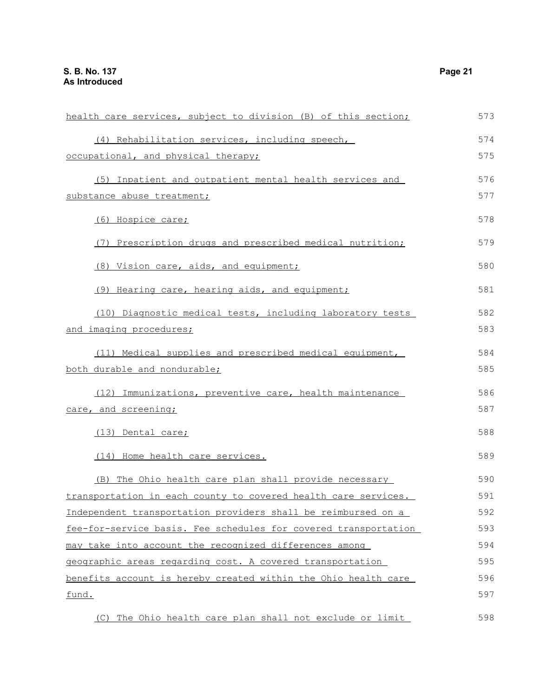| health care services, subject to division (B) of this section;  | 573 |
|-----------------------------------------------------------------|-----|
| (4) Rehabilitation services, including speech,                  | 574 |
| occupational, and physical therapy;                             | 575 |
| (5) Inpatient and outpatient mental health services and         | 576 |
| substance abuse treatment;                                      | 577 |
| (6) Hospice care;                                               | 578 |
| (7) Prescription drugs and prescribed medical nutrition;        | 579 |
| (8) Vision care, aids, and equipment;                           | 580 |
| (9) Hearing care, hearing aids, and equipment;                  | 581 |
| (10) Diagnostic medical tests, including laboratory tests       | 582 |
| and imaging procedures;                                         | 583 |
| (11) Medical supplies and prescribed medical equipment,         | 584 |
| both durable and nondurable;                                    | 585 |
| (12) Immunizations, preventive care, health maintenance         | 586 |
| care, and screening;                                            | 587 |
| (13) Dental care;                                               | 588 |
| (14) Home health care services.                                 | 589 |
| (B) The Ohio health care plan shall provide necessary           | 590 |
| transportation in each county to covered health care services.  | 591 |
| Independent transportation providers shall be reimbursed on a   | 592 |
| fee-for-service basis. Fee schedules for covered transportation | 593 |
| may take into account the recognized differences among          | 594 |
| geographic areas regarding cost. A covered transportation       | 595 |
| benefits account is hereby created within the Ohio health care  | 596 |
| fund.                                                           | 597 |
|                                                                 |     |

(C) The Ohio health care plan shall not exclude or limit 598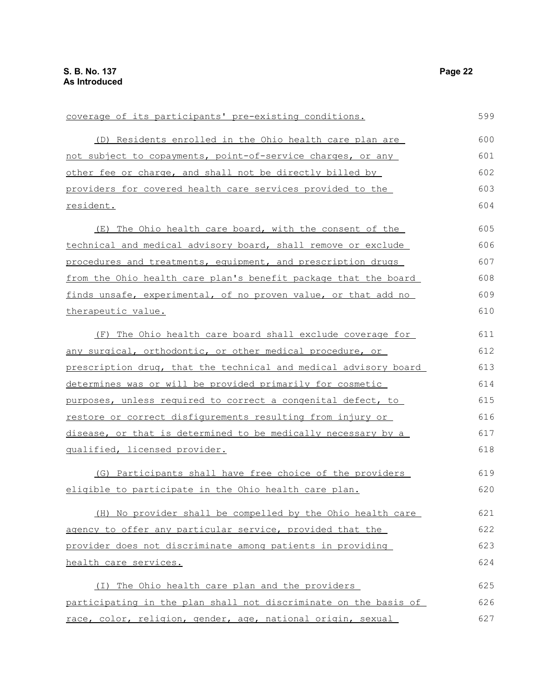| coverage of its participants' pre-existing conditions.           | 599 |
|------------------------------------------------------------------|-----|
| (D) Residents enrolled in the Ohio health care plan are          | 600 |
| not subject to copayments, point-of-service charges, or any      | 601 |
| other fee or charge, and shall not be directly billed by         | 602 |
| providers for covered health care services provided to the       | 603 |
| resident.                                                        | 604 |
| The Ohio health care board, with the consent of the<br>(E)       | 605 |
| technical and medical advisory board, shall remove or exclude    | 606 |
| procedures and treatments, equipment, and prescription drugs     | 607 |
| from the Ohio health care plan's benefit package that the board  | 608 |
| finds unsafe, experimental, of no proven value, or that add no   | 609 |
| therapeutic value.                                               | 610 |
| (F) The Ohio health care board shall exclude coverage for        | 611 |
| any surgical, orthodontic, or other medical procedure, or        | 612 |
| prescription drug, that the technical and medical advisory board | 613 |
| determines was or will be provided primarily for cosmetic        | 614 |
| purposes, unless required to correct a congenital defect, to     | 615 |
| restore or correct disfigurements resulting from injury or       | 616 |
| disease, or that is determined to be medically necessary by a    | 617 |
| qualified, licensed provider.                                    | 618 |
| (G) Participants shall have free choice of the providers         | 619 |
| eligible to participate in the Ohio health care plan.            | 620 |
| (H) No provider shall be compelled by the Ohio health care       | 621 |
| agency to offer any particular service, provided that the        | 622 |
| provider does not discriminate among patients in providing       | 623 |
| health care services.                                            | 624 |
| (I) The Ohio health care plan and the providers                  | 625 |
| participating in the plan shall not discriminate on the basis of | 626 |
| race, color, religion, gender, age, national origin, sexual      | 627 |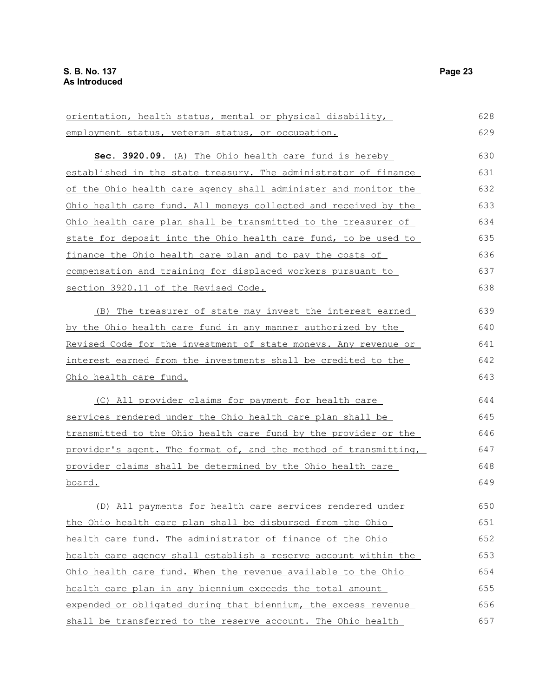orientation, health status, mental or physical disability, employment status, veteran status, or occupation. **Sec. 3920.09.** (A) The Ohio health care fund is hereby established in the state treasury. The administrator of finance of the Ohio health care agency shall administer and monitor the Ohio health care fund. All moneys collected and received by the Ohio health care plan shall be transmitted to the treasurer of state for deposit into the Ohio health care fund, to be used to finance the Ohio health care plan and to pay the costs of compensation and training for displaced workers pursuant to section 3920.11 of the Revised Code. (B) The treasurer of state may invest the interest earned by the Ohio health care fund in any manner authorized by the Revised Code for the investment of state moneys. Any revenue or interest earned from the investments shall be credited to the Ohio health care fund. (C) All provider claims for payment for health care services rendered under the Ohio health care plan shall be transmitted to the Ohio health care fund by the provider or the provider's agent. The format of, and the method of transmitting, provider claims shall be determined by the Ohio health care board. (D) All payments for health care services rendered under the Ohio health care plan shall be disbursed from the Ohio health care fund. The administrator of finance of the Ohio health care agency shall establish a reserve account within the Ohio health care fund. When the revenue available to the Ohio health care plan in any biennium exceeds the total amount expended or obligated during that biennium, the excess revenue 628 629 630 631 632 633 634 635 636 637 638 639 640 641 642 643 644 645 646 647 648 649 650 651 652 653 654 655 656

shall be transferred to the reserve account. The Ohio health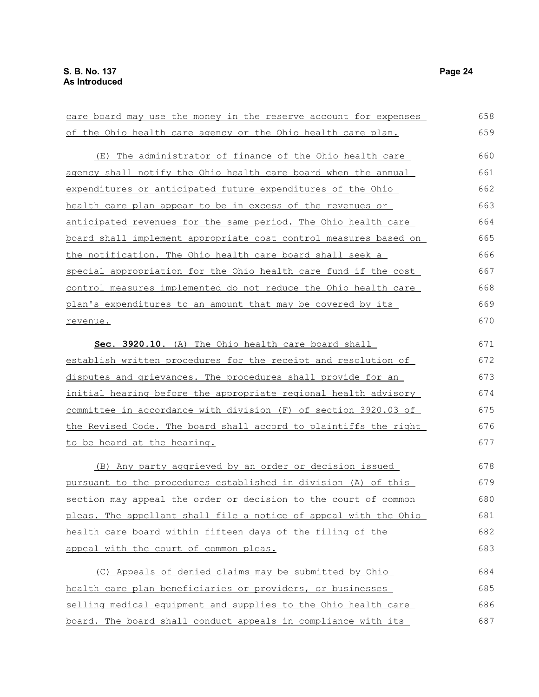| <u>care board may use the money in the reserve account for expenses</u> | 658 |
|-------------------------------------------------------------------------|-----|
| of the Ohio health care agency or the Ohio health care plan.            | 659 |
| (E) The administrator of finance of the Ohio health care                | 660 |
| agency shall notify the Ohio health care board when the annual          | 661 |
| expenditures or anticipated future expenditures of the Ohio             | 662 |
| health care plan appear to be in excess of the revenues or              | 663 |
| anticipated revenues for the same period. The Ohio health care          | 664 |
| <u>board shall implement appropriate cost control measures based on</u> | 665 |
| the notification. The Ohio health care board shall seek a               | 666 |
| special appropriation for the Ohio health care fund if the cost         | 667 |
| control measures implemented do not reduce the Ohio health care         | 668 |
| plan's expenditures to an amount that may be covered by its             | 669 |
| revenue.                                                                | 670 |
| Sec. 3920.10. (A) The Ohio health care board shall                      | 671 |
| establish written procedures for the receipt and resolution of          | 672 |
| disputes and grievances. The procedures shall provide for an            | 673 |
| initial hearing before the appropriate regional health advisory         | 674 |
| committee in accordance with division (F) of section 3920.03 of         | 675 |
| the Revised Code. The board shall accord to plaintiffs the right        | 676 |
| to be heard at the hearing.                                             | 677 |
| (B) Any party aggrieved by an order or decision issued                  | 678 |
| pursuant to the procedures established in division (A) of this          | 679 |
| section may appeal the order or decision to the court of common         | 680 |
| pleas. The appellant shall file a notice of appeal with the Ohio        | 681 |
| health care board within fifteen days of the filing of the              | 682 |
| appeal with the court of common pleas.                                  | 683 |
| (C) Appeals of denied claims may be submitted by Ohio                   | 684 |
| health care plan beneficiaries or providers, or businesses              | 685 |
| selling medical equipment and supplies to the Ohio health care          | 686 |
| board. The board shall conduct appeals in compliance with its           | 687 |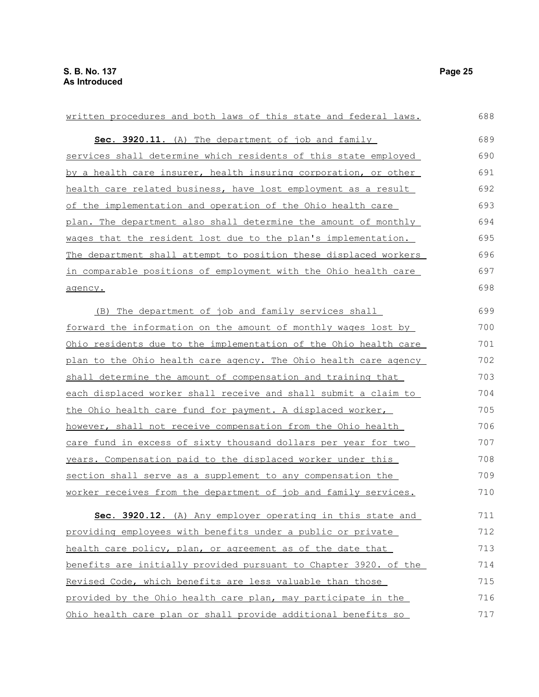| written procedures and both laws of this state and federal laws.        | 688 |
|-------------------------------------------------------------------------|-----|
| Sec. 3920.11. (A) The department of job and family                      | 689 |
| services shall determine which residents of this state employed         | 690 |
| by a health care insurer, health insuring corporation, or other         | 691 |
| health care related business, have lost employment as a result          | 692 |
| of the implementation and operation of the Ohio health care             | 693 |
| plan. The department also shall determine the amount of monthly         | 694 |
| wages that the resident lost due to the plan's implementation.          | 695 |
| The department shall attempt to position these displaced workers        | 696 |
| <u>in comparable positions of employment with the Ohio health care</u>  | 697 |
| agency.                                                                 | 698 |
| (B) The department of job and family services shall                     | 699 |
| forward the information on the amount of monthly wages lost by          | 700 |
| <u>Ohio residents due to the implementation of the Ohio health care</u> | 701 |
| plan to the Ohio health care agency. The Ohio health care agency        | 702 |
| shall determine the amount of compensation and training that            | 703 |
| each displaced worker shall receive and shall submit a claim to         | 704 |
| the Ohio health care fund for payment. A displaced worker,              | 705 |
| however, shall not receive compensation from the Ohio health            | 706 |
| care fund in excess of sixty thousand dollars per year for two          | 707 |
| years. Compensation paid to the displaced worker under this             | 708 |
| section shall serve as a supplement to any compensation the             | 709 |
| worker receives from the department of job and family services.         | 710 |
| Sec. 3920.12. (A) Any employer operating in this state and              | 711 |
| providing employees with benefits under a public or private             | 712 |
| health care policy, plan, or agreement as of the date that              | 713 |
| benefits are initially provided pursuant to Chapter 3920. of the        | 714 |
| Revised Code, which benefits are less valuable than those               | 715 |
| provided by the Ohio health care plan, may participate in the           | 716 |
| Ohio health care plan or shall provide additional benefits so           | 717 |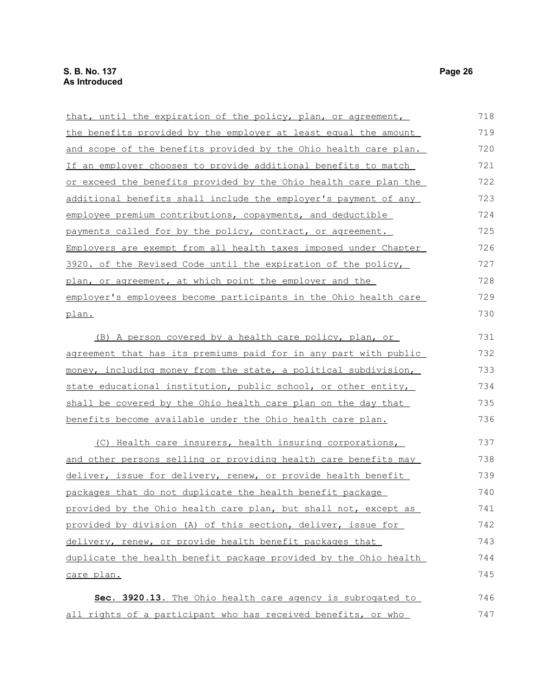| that, until the expiration of the policy, plan, or agreement,    | 718 |
|------------------------------------------------------------------|-----|
| the benefits provided by the employer at least equal the amount  | 719 |
| and scope of the benefits provided by the Ohio health care plan. | 720 |
| If an employer chooses to provide additional benefits to match   | 721 |
| or exceed the benefits provided by the Ohio health care plan the | 722 |
| additional benefits shall include the employer's payment of any  | 723 |
| employee premium contributions, copayments, and deductible       | 724 |
| payments called for by the policy, contract, or agreement.       | 725 |
| Employers are exempt from all health taxes imposed under Chapter | 726 |
| 3920. of the Revised Code until the expiration of the policy,    | 727 |
| plan, or agreement, at which point the employer and the          | 728 |
| employer's employees become participants in the Ohio health care | 729 |
| plan.                                                            | 730 |
| (B) A person covered by a health care policy, plan, or           | 731 |
| agreement that has its premiums paid for in any part with public | 732 |
| money, including money from the state, a political subdivision,  | 733 |
| state educational institution, public school, or other entity,   | 734 |
| shall be covered by the Ohio health care plan on the day that    | 735 |
| benefits become available under the Ohio health care plan.       | 736 |
| (C) Health care insurers, health insuring corporations,          | 737 |
| and other persons selling or providing health care benefits may  | 738 |
| deliver, issue for delivery, renew, or provide health benefit    | 739 |

packages that do not duplicate the health benefit package provided by the Ohio health care plan, but shall not, except as provided by division (A) of this section, deliver, issue for delivery, renew, or provide health benefit packages that duplicate the health benefit package provided by the Ohio health care plan. 740 741 742 743 744 745

 **Sec. 3920.13.** The Ohio health care agency is subrogated to all rights of a participant who has received benefits, or who 746 747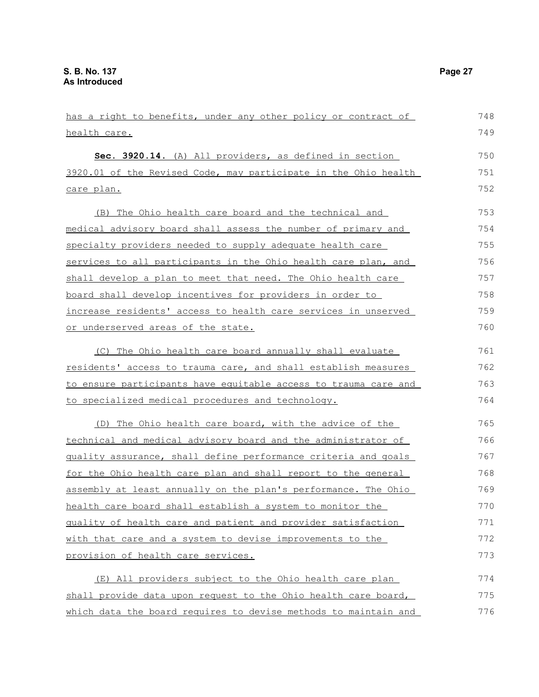| has a right to benefits, under any other policy or contract of  | 748 |
|-----------------------------------------------------------------|-----|
| <u>health care.</u>                                             | 749 |
| Sec. 3920.14. (A) All providers, as defined in section          | 750 |
| 3920.01 of the Revised Code, may participate in the Ohio health | 751 |
| care plan.                                                      | 752 |
| (B) The Ohio health care board and the technical and            | 753 |
| medical advisory board shall assess the number of primary and   | 754 |
| specialty providers needed to supply adequate health care       | 755 |
| services to all participants in the Ohio health care plan, and  | 756 |
| shall develop a plan to meet that need. The Ohio health care    | 757 |
| board shall develop incentives for providers in order to        | 758 |
| increase residents' access to health care services in unserved  | 759 |
| or underserved areas of the state.                              | 760 |
| (C) The Ohio health care board annually shall evaluate          | 761 |
| residents' access to trauma care, and shall establish measures  | 762 |
| to ensure participants have equitable access to trauma care and | 763 |
| to specialized medical procedures and technology.               | 764 |
| (D) The Ohio health care board, with the advice of the          | 765 |
| technical and medical advisory board and the administrator of   | 766 |
| guality assurance, shall define performance criteria and goals  | 767 |
| for the Ohio health care plan and shall report to the general   | 768 |
| assembly at least annually on the plan's performance. The Ohio  | 769 |
| health care board shall establish a system to monitor the       | 770 |
| quality of health care and patient and provider satisfaction    | 771 |
| with that care and a system to devise improvements to the       | 772 |
| provision of health care services.                              | 773 |
| (E) All providers subject to the Ohio health care plan          | 774 |
| shall provide data upon request to the Ohio health care board,  | 775 |
| which data the board requires to devise methods to maintain and | 776 |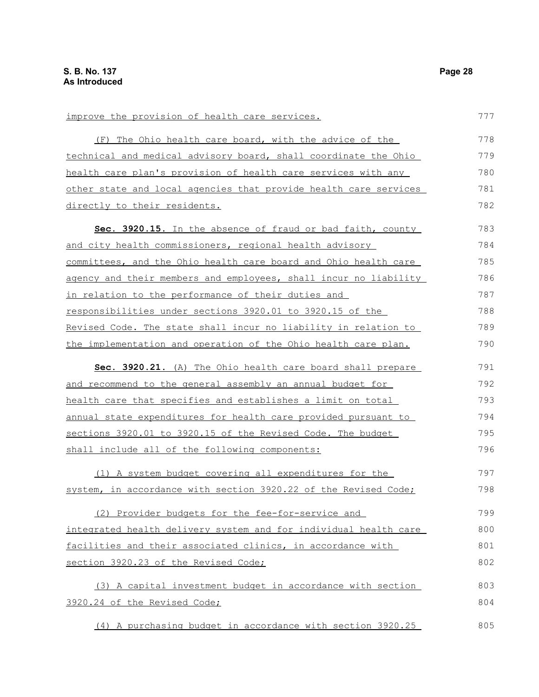| improve the provision of health care services.                   | 777 |
|------------------------------------------------------------------|-----|
| (F) The Ohio health care board, with the advice of the           | 778 |
| technical and medical advisory board, shall coordinate the Ohio  | 779 |
| health care plan's provision of health care services with any    | 780 |
| other state and local agencies that provide health care services | 781 |
| directly to their residents.                                     | 782 |
| Sec. 3920.15. In the absence of fraud or bad faith, county       | 783 |
| and city health commissioners, regional health advisory          | 784 |
| committees, and the Ohio health care board and Ohio health care  | 785 |
| agency and their members and employees, shall incur no liability | 786 |
| in relation to the performance of their duties and               | 787 |
| responsibilities under sections 3920.01 to 3920.15 of the        | 788 |
| Revised Code. The state shall incur no liability in relation to  | 789 |
| the implementation and operation of the Ohio health care plan.   | 790 |
| Sec. 3920.21. (A) The Ohio health care board shall prepare       | 791 |
| and recommend to the general assembly an annual budget for       | 792 |
| health care that specifies and establishes a limit on total      | 793 |
| annual state expenditures for health care provided pursuant to   | 794 |
| sections 3920.01 to 3920.15 of the Revised Code. The budget      | 795 |
| shall include all of the following components:                   | 796 |
| (1) A system budget covering all expenditures for the            | 797 |
| system, in accordance with section 3920.22 of the Revised Code;  | 798 |
| (2) Provider budgets for the fee-for-service and                 | 799 |
| integrated health delivery system and for individual health care | 800 |
| facilities and their associated clinics, in accordance with      | 801 |
| section 3920.23 of the Revised Code;                             | 802 |
| (3) A capital investment budget in accordance with section       | 803 |
| 3920.24 of the Revised Code;                                     | 804 |
| (4) A purchasing budget in accordance with section 3920.25       | 805 |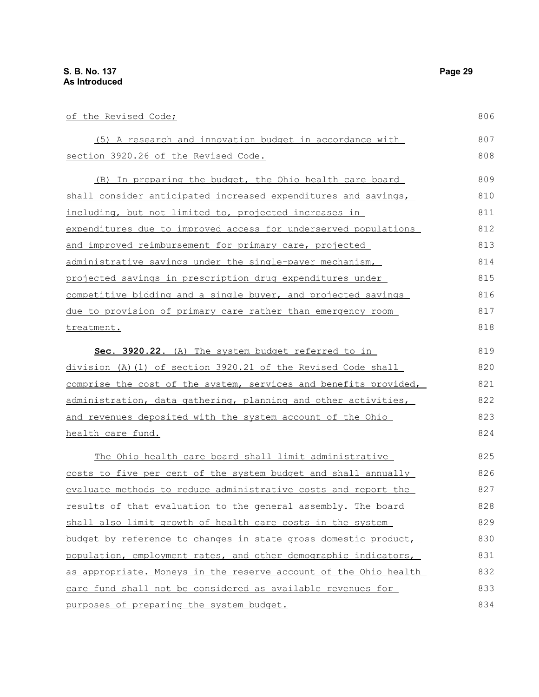| of the Revised Code;                                             | 806 |
|------------------------------------------------------------------|-----|
| (5) A research and innovation budget in accordance with          | 807 |
| section 3920.26 of the Revised Code.                             | 808 |
| (B) In preparing the budget, the Ohio health care board          | 809 |
| shall consider anticipated increased expenditures and savings,   | 810 |
| including, but not limited to, projected increases in            | 811 |
| expenditures due to improved access for underserved populations  | 812 |
| and improved reimbursement for primary care, projected           | 813 |
| administrative savings under the single-payer mechanism,         | 814 |
| projected savings in prescription drug expenditures under        | 815 |
| competitive bidding and a single buyer, and projected savings    | 816 |
| due to provision of primary care rather than emergency room      | 817 |
| treatment.                                                       | 818 |
| Sec. 3920.22. (A) The system budget referred to in               | 819 |
| division (A)(1) of section 3920.21 of the Revised Code shall     | 820 |
| comprise the cost of the system, services and benefits provided, | 821 |
| administration, data gathering, planning and other activities,   | 822 |
| and revenues deposited with the system account of the Ohio       | 823 |
| health care fund.                                                | 824 |
| The Ohio health care board shall limit administrative            | 825 |
| costs to five per cent of the system budget and shall annually   | 826 |
| evaluate methods to reduce administrative costs and report the   | 827 |
| results of that evaluation to the general assembly. The board    | 828 |
| shall also limit growth of health care costs in the system       | 829 |
| budget by reference to changes in state gross domestic product,  | 830 |
| population, employment rates, and other demographic indicators,  | 831 |
| as appropriate. Moneys in the reserve account of the Ohio health | 832 |
| care fund shall not be considered as available revenues for      | 833 |
| purposes of preparing the system budget.                         | 834 |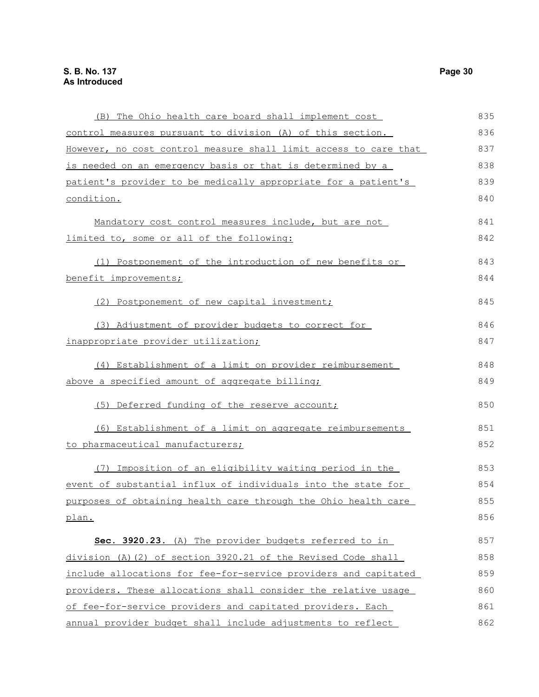| (B) The Ohio health care board shall implement cost              | 835 |
|------------------------------------------------------------------|-----|
| control measures pursuant to division (A) of this section.       | 836 |
| However, no cost control measure shall limit access to care that | 837 |
| is needed on an emergency basis or that is determined by a       | 838 |
| patient's provider to be medically appropriate for a patient's   | 839 |
| condition.                                                       | 840 |
| Mandatory cost control measures include, but are not             | 841 |
| limited to, some or all of the following:                        | 842 |
| (1) Postponement of the introduction of new benefits or          | 843 |
| benefit improvements;                                            | 844 |
| (2) Postponement of new capital investment;                      | 845 |
| (3) Adjustment of provider budgets to correct for                | 846 |
| inappropriate provider utilization;                              | 847 |
| (4) Establishment of a limit on provider reimbursement           | 848 |
| above a specified amount of aggregate billing;                   | 849 |
| (5) Deferred funding of the reserve account;                     | 850 |
| (6) Establishment of a limit on aggregate reimbursements         | 851 |
| to pharmaceutical manufacturers;                                 | 852 |
| (7) Imposition of an eligibility waiting period in the           | 853 |
| event of substantial influx of individuals into the state for    | 854 |
| purposes of obtaining health care through the Ohio health care   | 855 |
| plan.                                                            | 856 |
| Sec. 3920.23. (A) The provider budgets referred to in            | 857 |
| division (A)(2) of section 3920.21 of the Revised Code shall     | 858 |
| include allocations for fee-for-service providers and capitated  | 859 |
| providers. These allocations shall consider the relative usage   | 860 |
| of fee-for-service providers and capitated providers. Each       | 861 |
| annual provider budget shall include adjustments to reflect      | 862 |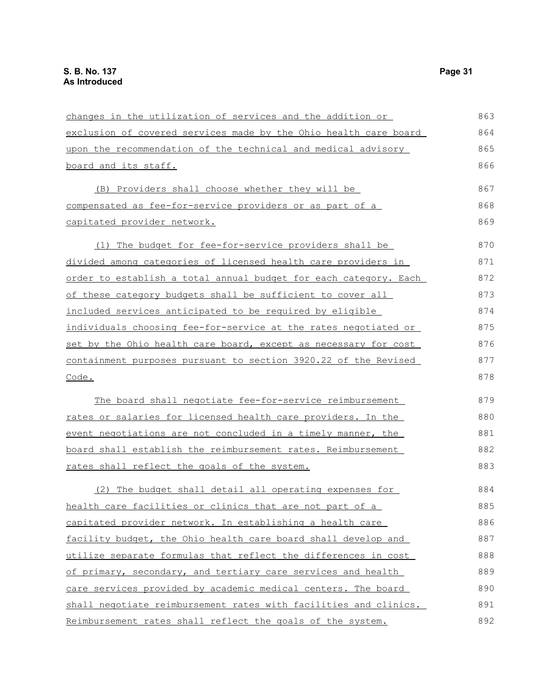| changes in the utilization of services and the addition or       | 863 |
|------------------------------------------------------------------|-----|
| exclusion of covered services made by the Ohio health care board | 864 |
| upon the recommendation of the technical and medical advisory    | 865 |
| board and its staff.                                             | 866 |
| (B) Providers shall choose whether they will be                  | 867 |
| <u>compensated as fee-for-service providers or as part of a</u>  | 868 |
| capitated provider network.                                      | 869 |
| (1) The budget for fee-for-service providers shall be            | 870 |
| divided among categories of licensed health care providers in    | 871 |
| order to establish a total annual budget for each category. Each | 872 |
| of these category budgets shall be sufficient to cover all       | 873 |
| included services anticipated to be required by eligible         | 874 |
| individuals choosing fee-for-service at the rates negotiated or  | 875 |
| set by the Ohio health care board, except as necessary for cost  | 876 |
| containment purposes pursuant to section 3920.22 of the Revised  | 877 |
| Code.                                                            | 878 |
| The board shall negotiate fee-for-service reimbursement          | 879 |
| rates or salaries for licensed health care providers. In the     | 880 |
| event negotiations are not concluded in a timely manner, the     | 881 |
| board shall establish the reimbursement rates. Reimbursement     | 882 |
| rates shall reflect the goals of the system.                     | 883 |
| (2) The budget shall detail all operating expenses for           | 884 |
| health care facilities or clinics that are not part of a         | 885 |
| capitated provider network. In establishing a health care        | 886 |
| facility budget, the Ohio health care board shall develop and    | 887 |
| utilize separate formulas that reflect the differences in cost   | 888 |
| of primary, secondary, and tertiary care services and health     | 889 |
| care services provided by academic medical centers. The board    | 890 |
| shall negotiate reimbursement rates with facilities and clinics. | 891 |
| Reimbursement rates shall reflect the goals of the system.       | 892 |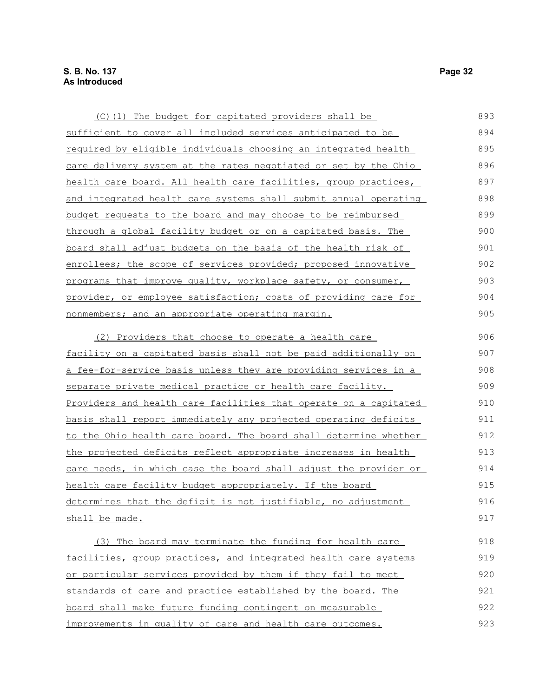| (C)(1) The budget for capitated providers shall be                     | 893 |
|------------------------------------------------------------------------|-----|
| sufficient to cover all included services anticipated to be            | 894 |
| <u>required by eligible individuals choosing an integrated health</u>  | 895 |
| care delivery system at the rates negotiated or set by the Ohio        | 896 |
| health care board. All health care facilities, group practices,        | 897 |
| and integrated health care systems shall submit annual operating       | 898 |
| budget requests to the board and may choose to be reimbursed           | 899 |
| through a global facility budget or on a capitated basis. The          | 900 |
| board shall adjust budgets on the basis of the health risk of          | 901 |
| enrollees; the scope of services provided; proposed innovative         | 902 |
| programs that improve quality, workplace safety, or consumer,          | 903 |
| provider, or employee satisfaction; costs of providing care for        | 904 |
| nonmembers; and an appropriate operating margin.                       | 905 |
| (2) Providers that choose to operate a health care                     | 906 |
| <u>facility on a capitated basis shall not be paid additionally on</u> | 907 |
| <u>a fee-for-service basis unless they are providing services in a</u> | 908 |
| separate private medical practice or health care facility.             | 909 |
| Providers and health care facilities that operate on a capitated       | 910 |
| basis shall report immediately any projected operating deficits        | 911 |
| to the Ohio health care board. The board shall determine whether       | 912 |
| the projected deficits reflect appropriate increases in health         | 913 |
| care needs, in which case the board shall adjust the provider or       | 914 |
| health care facility budget appropriately. If the board                | 915 |
| determines that the deficit is not justifiable, no adjustment          | 916 |
| shall be made.                                                         | 917 |
| (3) The board may terminate the funding for health care                | 918 |
| facilities, group practices, and integrated health care systems        | 919 |
| or particular services provided by them if they fail to meet           | 920 |
| standards of care and practice established by the board. The           | 921 |
| board shall make future funding contingent on measurable               | 922 |

improvements in quality of care and health care outcomes. 923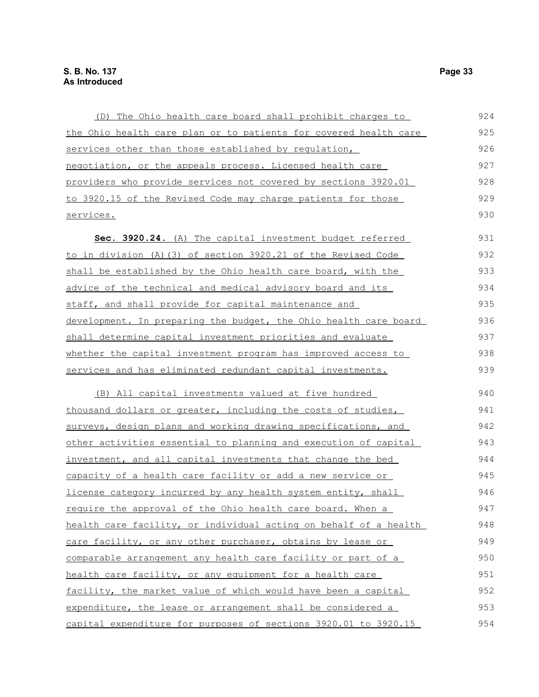| (D) The Ohio health care board shall prohibit charges to         | 924 |
|------------------------------------------------------------------|-----|
| the Ohio health care plan or to patients for covered health care | 925 |
| services other than those established by requlation,             | 926 |
| negotiation, or the appeals process. Licensed health care        | 927 |
| providers who provide services not covered by sections 3920.01   | 928 |
| to 3920.15 of the Revised Code may charge patients for those     | 929 |
| services.                                                        | 930 |
| Sec. 3920.24. (A) The capital investment budget referred         | 931 |
| to in division (A) (3) of section 3920.21 of the Revised Code    | 932 |
| shall be established by the Ohio health care board, with the     | 933 |
| advice of the technical and medical advisory board and its       | 934 |
| staff, and shall provide for capital maintenance and             | 935 |
| development. In preparing the budget, the Ohio health care board | 936 |
| shall determine capital investment priorities and evaluate       | 937 |
| whether the capital investment program has improved access to    | 938 |
| services and has eliminated redundant capital investments.       | 939 |
| (B) All capital investments valued at five hundred               | 940 |
| thousand dollars or greater, including the costs of studies,     | 941 |
| surveys, design plans and working drawing specifications, and    | 942 |
| other activities essential to planning and execution of capital  | 943 |
| investment, and all capital investments that change the bed      | 944 |
| capacity of a health care facility or add a new service or       | 945 |
| license category incurred by any health system entity, shall     | 946 |
| require the approval of the Ohio health care board. When a       | 947 |
| health care facility, or individual acting on behalf of a health | 948 |
| care facility, or any other purchaser, obtains by lease or       | 949 |
| comparable arrangement any health care facility or part of a     | 950 |
| health care facility, or any equipment for a health care         | 951 |
| facility, the market value of which would have been a capital    | 952 |
| expenditure, the lease or arrangement shall be considered a      | 953 |

capital expenditure for purposes of sections 3920.01 to 3920.15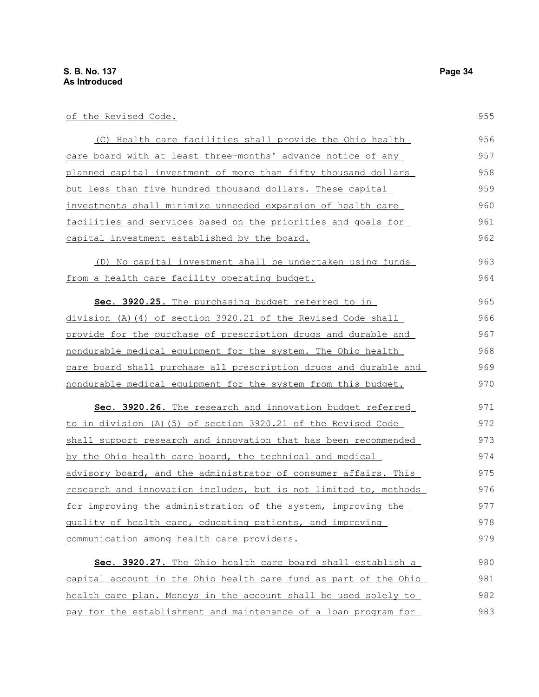of the Revised Code.

| (C) Health care facilities shall provide the Ohio health         | 956 |
|------------------------------------------------------------------|-----|
| care board with at least three-months' advance notice of any     | 957 |
| planned capital investment of more than fifty thousand dollars   | 958 |
| but less than five hundred thousand dollars. These capital       | 959 |
| investments shall minimize unneeded expansion of health care     | 960 |
| facilities and services based on the priorities and goals for    | 961 |
| capital investment established by the board.                     | 962 |
| (D) No capital investment shall be undertaken using funds        | 963 |
| from a health care facility operating budget.                    | 964 |
| Sec. 3920.25. The purchasing budget referred to in               | 965 |
| division (A) $(4)$ of section 3920.21 of the Revised Code shall  | 966 |
| provide for the purchase of prescription drugs and durable and   | 967 |
| nondurable medical equipment for the system. The Ohio health     | 968 |
| care board shall purchase all prescription drugs and durable and | 969 |
| nondurable medical equipment for the system from this budget.    | 970 |
| Sec. 3920.26. The research and innovation budget referred        | 971 |
| to in division (A) (5) of section 3920.21 of the Revised Code    | 972 |
| shall support research and innovation that has been recommended  | 973 |
| by the Ohio health care board, the technical and medical         | 974 |
| advisory board, and the administrator of consumer affairs. This  | 975 |
| research and innovation includes, but is not limited to, methods | 976 |
| for improving the administration of the system, improving the    | 977 |
| quality of health care, educating patients, and improving        | 978 |
| communication among health care providers.                       | 979 |
| Sec. 3920.27. The Ohio health care board shall establish a       | 980 |
| capital account in the Ohio health care fund as part of the Ohio | 981 |
| health care plan. Moneys in the account shall be used solely to  | 982 |
| pay for the establishment and maintenance of a loan program for  | 983 |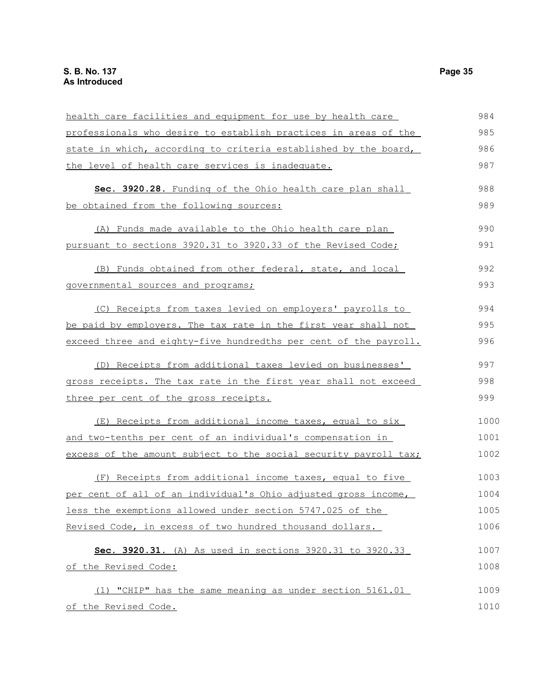| health care facilities and equipment for use by health care      | 984  |
|------------------------------------------------------------------|------|
| professionals who desire to establish practices in areas of the  | 985  |
| state in which, according to criteria established by the board,  | 986  |
| the level of health care services is inadequate.                 | 987  |
| Sec. 3920.28. Funding of the Ohio health care plan shall         | 988  |
| be obtained from the following sources:                          | 989  |
| (A) Funds made available to the Ohio health care plan            | 990  |
| pursuant to sections 3920.31 to 3920.33 of the Revised Code;     | 991  |
| (B) Funds obtained from other federal, state, and local          | 992  |
| governmental sources and programs;                               | 993  |
| (C) Receipts from taxes levied on employers' payrolls to         | 994  |
| be paid by employers. The tax rate in the first year shall not   | 995  |
| exceed three and eighty-five hundredths per cent of the payroll. | 996  |
| (D) Receipts from additional taxes levied on businesses'         | 997  |
| gross receipts. The tax rate in the first year shall not exceed  | 998  |
| three per cent of the gross receipts.                            | 999  |
| (E) Receipts from additional income taxes, equal to six          | 1000 |
| and two-tenths per cent of an individual's compensation in       | 1001 |
| excess of the amount subject to the social security payroll tax; | 1002 |
| (F) Receipts from additional income taxes, equal to five         | 1003 |
| per cent of all of an individual's Ohio adjusted gross income,   | 1004 |
| less the exemptions allowed under section 5747.025 of the        | 1005 |
| Revised Code, in excess of two hundred thousand dollars.         | 1006 |
| Sec. 3920.31. (A) As used in sections 3920.31 to 3920.33         | 1007 |
| of the Revised Code:                                             | 1008 |
| (1) "CHIP" has the same meaning as under section 5161.01         | 1009 |
| of the Revised Code.                                             | 1010 |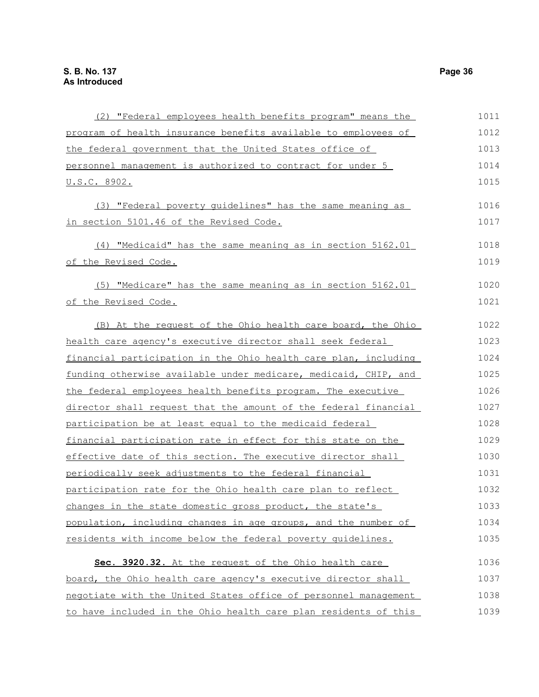| (2) "Federal employees health benefits program" means the       | 1011 |
|-----------------------------------------------------------------|------|
| program of health insurance benefits available to employees of  | 1012 |
| the federal government that the United States office of         | 1013 |
| personnel management is authorized to contract for under 5      | 1014 |
| <u>U.S.C. 8902.</u>                                             | 1015 |
| (3) "Federal poverty guidelines" has the same meaning as        | 1016 |
| in section 5101.46 of the Revised Code.                         | 1017 |
| (4) "Medicaid" has the same meaning as in section 5162.01       | 1018 |
| of the Revised Code.                                            | 1019 |
| (5) "Medicare" has the same meaning as in section 5162.01       | 1020 |
| <u>of the Revised Code.</u>                                     | 1021 |
| (B) At the request of the Ohio health care board, the Ohio      | 1022 |
| health care agency's executive director shall seek federal      | 1023 |
| financial participation in the Ohio health care plan, including | 1024 |
| funding otherwise available under medicare, medicaid, CHIP, and | 1025 |
| the federal employees health benefits program. The executive    | 1026 |
| director shall request that the amount of the federal financial | 1027 |
| participation be at least equal to the medicaid federal         | 1028 |
| financial participation rate in effect for this state on the    | 1029 |
| effective date of this section. The executive director shall    | 1030 |
| periodically seek adjustments to the federal financial          | 1031 |
| participation rate for the Ohio health care plan to reflect     | 1032 |
| changes in the state domestic gross product, the state's        | 1033 |
| population, including changes in age groups, and the number of  | 1034 |
| residents with income below the federal poverty quidelines.     | 1035 |
| Sec. 3920.32. At the request of the Ohio health care            | 1036 |
| board, the Ohio health care agency's executive director shall   | 1037 |
| negotiate with the United States office of personnel management | 1038 |
| to have included in the Ohio health care plan residents of this | 1039 |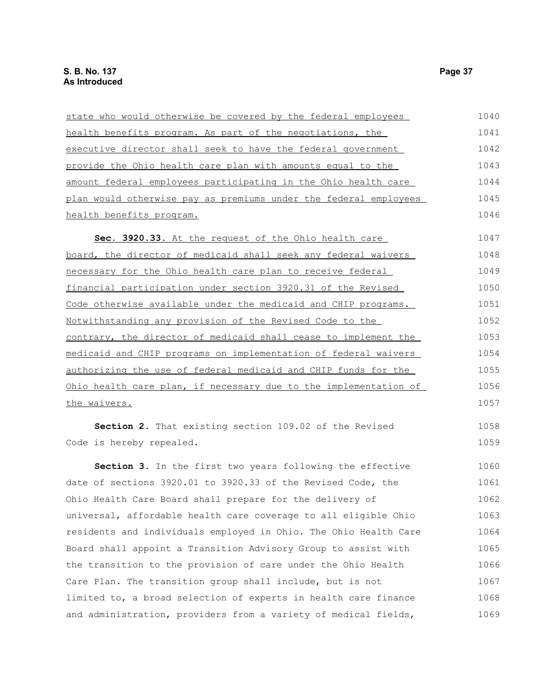| state who would otherwise be covered by the federal employees           | 1040 |
|-------------------------------------------------------------------------|------|
| health benefits program. As part of the negotiations, the               | 1041 |
| executive director shall seek to have the federal government            | 1042 |
| provide the Ohio health care plan with amounts equal to the             | 1043 |
| amount federal employees participating in the Ohio health care          | 1044 |
| plan would otherwise pay as premiums under the federal employees        | 1045 |
| health benefits program.                                                | 1046 |
| Sec. 3920.33. At the request of the Ohio health care                    | 1047 |
| board, the director of medicaid shall seek any federal waivers          | 1048 |
| necessary for the Ohio health care plan to receive federal              | 1049 |
| financial participation under section 3920.31 of the Revised            | 1050 |
| Code otherwise available under the medicaid and CHIP programs.          | 1051 |
| Notwithstanding any provision of the Revised Code to the                | 1052 |
| contrary, the director of medicaid shall cease to implement the         | 1053 |
| medicaid and CHIP programs on implementation of federal waivers         | 1054 |
| authorizing the use of federal medicaid and CHIP funds for the          | 1055 |
| <u>Ohio health care plan, if necessary due to the implementation of</u> | 1056 |
| the waivers.                                                            | 1057 |
| Section 2. That existing section 109.02 of the Revised                  | 1058 |
| Code is hereby repealed.                                                | 1059 |
| Section 3. In the first two years following the effective               | 1060 |
| date of sections 3920.01 to 3920.33 of the Revised Code, the            | 1061 |
| Ohio Health Care Board shall prepare for the delivery of                | 1062 |
| universal, affordable health care coverage to all eligible Ohio         | 1063 |
| residents and individuals employed in Ohio. The Ohio Health Care        | 1064 |
| Board shall appoint a Transition Advisory Group to assist with          | 1065 |
| the transition to the provision of care under the Ohio Health           | 1066 |
| Care Plan. The transition group shall include, but is not               | 1067 |
| limited to, a broad selection of experts in health care finance         | 1068 |
| and administration, providers from a variety of medical fields,         | 1069 |